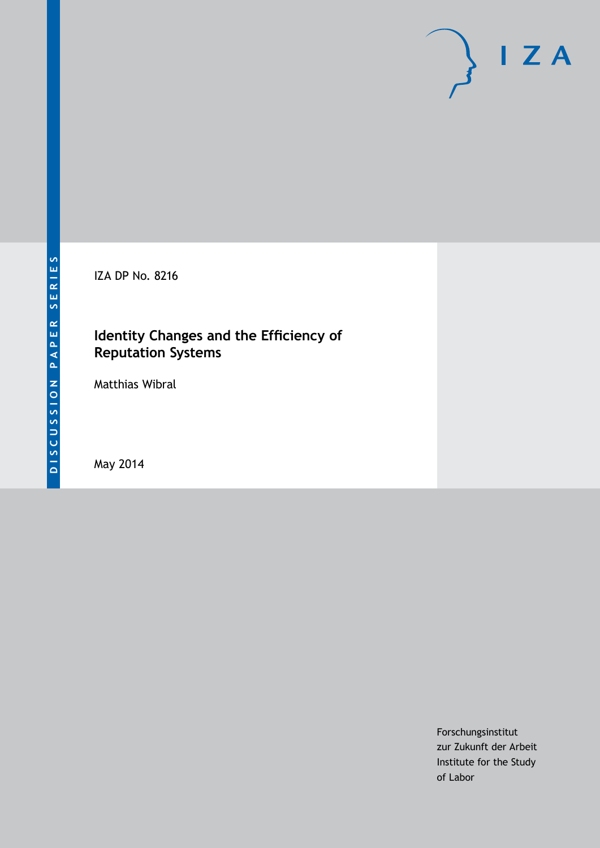

IZA DP No. 8216

### **Identity Changes and the Efficiency of Reputation Systems**

Matthias Wibral

May 2014

Forschungsinstitut zur Zukunft der Arbeit Institute for the Study of Labor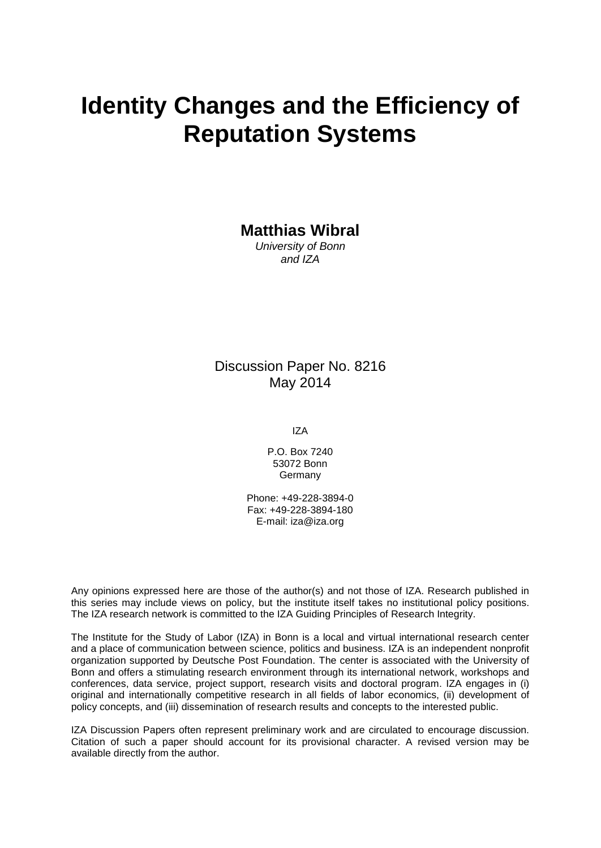# **Identity Changes and the Efficiency of Reputation Systems**

**Matthias Wibral**

*University of Bonn and IZA*

### Discussion Paper No. 8216 May 2014

IZA

P.O. Box 7240 53072 Bonn Germany

Phone: +49-228-3894-0 Fax: +49-228-3894-180 E-mail: [iza@iza.org](mailto:iza@iza.org)

Any opinions expressed here are those of the author(s) and not those of IZA. Research published in this series may include views on policy, but the institute itself takes no institutional policy positions. The IZA research network is committed to the IZA Guiding Principles of Research Integrity.

The Institute for the Study of Labor (IZA) in Bonn is a local and virtual international research center and a place of communication between science, politics and business. IZA is an independent nonprofit organization supported by Deutsche Post Foundation. The center is associated with the University of Bonn and offers a stimulating research environment through its international network, workshops and conferences, data service, project support, research visits and doctoral program. IZA engages in (i) original and internationally competitive research in all fields of labor economics, (ii) development of policy concepts, and (iii) dissemination of research results and concepts to the interested public.

<span id="page-1-0"></span>IZA Discussion Papers often represent preliminary work and are circulated to encourage discussion. Citation of such a paper should account for its provisional character. A revised version may be available directly from the author.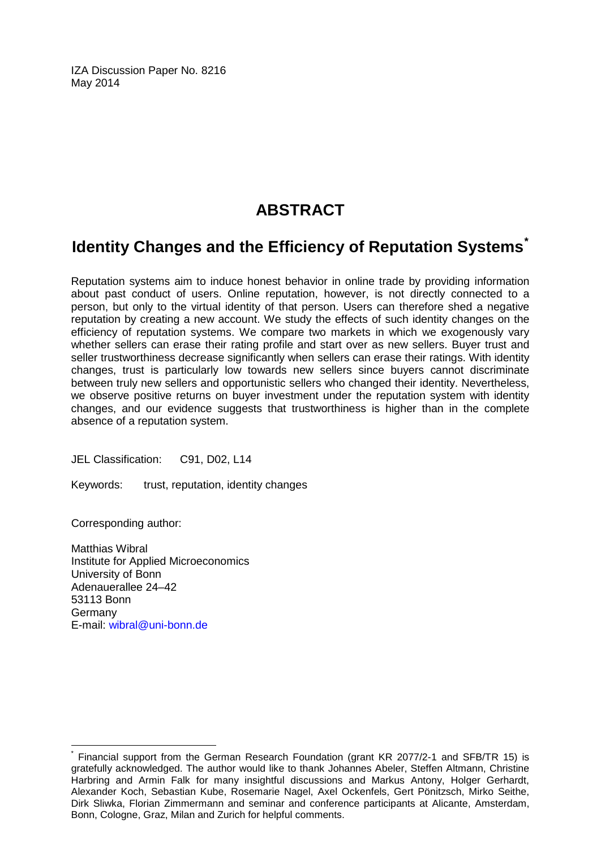IZA Discussion Paper No. 8216 May 2014

### **ABSTRACT**

### **Identity Changes and the Efficiency of Reputation Systems[\\*](#page-1-0)**

Reputation systems aim to induce honest behavior in online trade by providing information about past conduct of users. Online reputation, however, is not directly connected to a person, but only to the virtual identity of that person. Users can therefore shed a negative reputation by creating a new account. We study the effects of such identity changes on the efficiency of reputation systems. We compare two markets in which we exogenously vary whether sellers can erase their rating profile and start over as new sellers. Buyer trust and seller trustworthiness decrease significantly when sellers can erase their ratings. With identity changes, trust is particularly low towards new sellers since buyers cannot discriminate between truly new sellers and opportunistic sellers who changed their identity. Nevertheless, we observe positive returns on buyer investment under the reputation system with identity changes, and our evidence suggests that trustworthiness is higher than in the complete absence of a reputation system.

JEL Classification: C91, D02, L14

Keywords: trust, reputation, identity changes

Corresponding author:

Matthias Wibral Institute for Applied Microeconomics University of Bonn Adenauerallee 24–42 53113 Bonn Germany E-mail: [wibral@uni-bonn.de](mailto:wibral@uni-bonn.de)

Financial support from the German Research Foundation (grant KR 2077/2-1 and SFB/TR 15) is gratefully acknowledged. The author would like to thank Johannes Abeler, Steffen Altmann, Christine Harbring and Armin Falk for many insightful discussions and Markus Antony, Holger Gerhardt, Alexander Koch, Sebastian Kube, Rosemarie Nagel, Axel Ockenfels, Gert Pönitzsch, Mirko Seithe, Dirk Sliwka, Florian Zimmermann and seminar and conference participants at Alicante, Amsterdam, Bonn, Cologne, Graz, Milan and Zurich for helpful comments.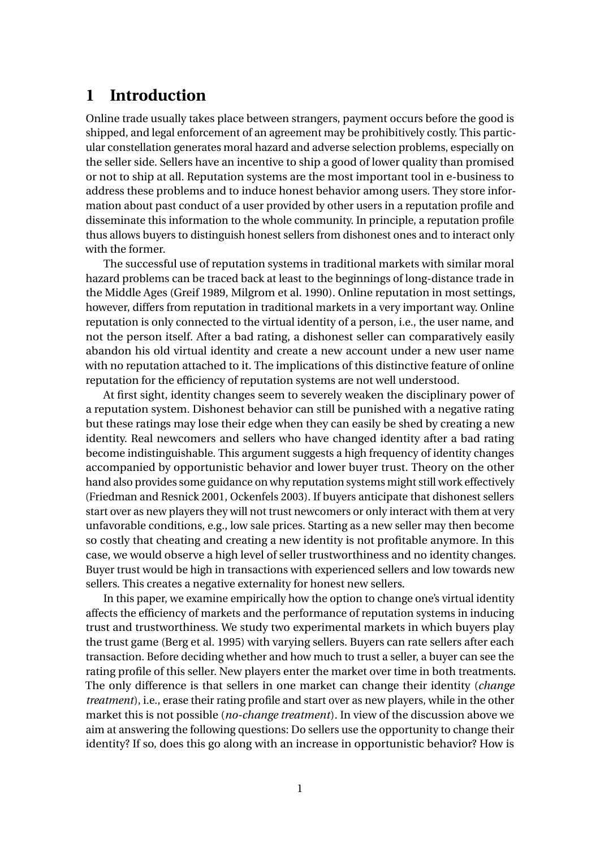### **1 Introduction**

Online trade usually takes place between strangers, payment occurs before the good is shipped, and legal enforcement of an agreement may be prohibitively costly. This particular constellation generates moral hazard and adverse selection problems, especially on the seller side. Sellers have an incentive to ship a good of lower quality than promised or not to ship at all. Reputation systems are the most important tool in e-business to address these problems and to induce honest behavior among users. They store information about past conduct of a user provided by other users in a reputation profile and disseminate this information to the whole community. In principle, a reputation profile thus allows buyers to distinguish honest sellers from dishonest ones and to interact only with the former.

The successful use of reputation systems in traditional markets with similar moral hazard problems can be traced back at least to the beginnings of long-distance trade in the Middle Ages (Greif 1989, Milgrom et al. 1990). Online reputation in most settings, however, differs from reputation in traditional markets in a very important way. Online reputation is only connected to the virtual identity of a person, i.e., the user name, and not the person itself. After a bad rating, a dishonest seller can comparatively easily abandon his old virtual identity and create a new account under a new user name with no reputation attached to it. The implications of this distinctive feature of online reputation for the efficiency of reputation systems are not well understood.

At first sight, identity changes seem to severely weaken the disciplinary power of a reputation system. Dishonest behavior can still be punished with a negative rating but these ratings may lose their edge when they can easily be shed by creating a new identity. Real newcomers and sellers who have changed identity after a bad rating become indistinguishable. This argument suggests a high frequency of identity changes accompanied by opportunistic behavior and lower buyer trust. Theory on the other hand also provides some guidance on why reputation systems might still work effectively (Friedman and Resnick 2001, Ockenfels 2003). If buyers anticipate that dishonest sellers start over as new players they will not trust newcomers or only interact with them at very unfavorable conditions, e.g., low sale prices. Starting as a new seller may then become so costly that cheating and creating a new identity is not profitable anymore. In this case, we would observe a high level of seller trustworthiness and no identity changes. Buyer trust would be high in transactions with experienced sellers and low towards new sellers. This creates a negative externality for honest new sellers.

In this paper, we examine empirically how the option to change one's virtual identity affects the efficiency of markets and the performance of reputation systems in inducing trust and trustworthiness. We study two experimental markets in which buyers play the trust game (Berg et al. 1995) with varying sellers. Buyers can rate sellers after each transaction. Before deciding whether and how much to trust a seller, a buyer can see the rating profile of this seller. New players enter the market over time in both treatments. The only difference is that sellers in one market can change their identity (*change treatment*), i.e., erase their rating profile and start over as new players, while in the other market this is not possible (*no-change treatment*). In view of the discussion above we aim at answering the following questions: Do sellers use the opportunity to change their identity? If so, does this go along with an increase in opportunistic behavior? How is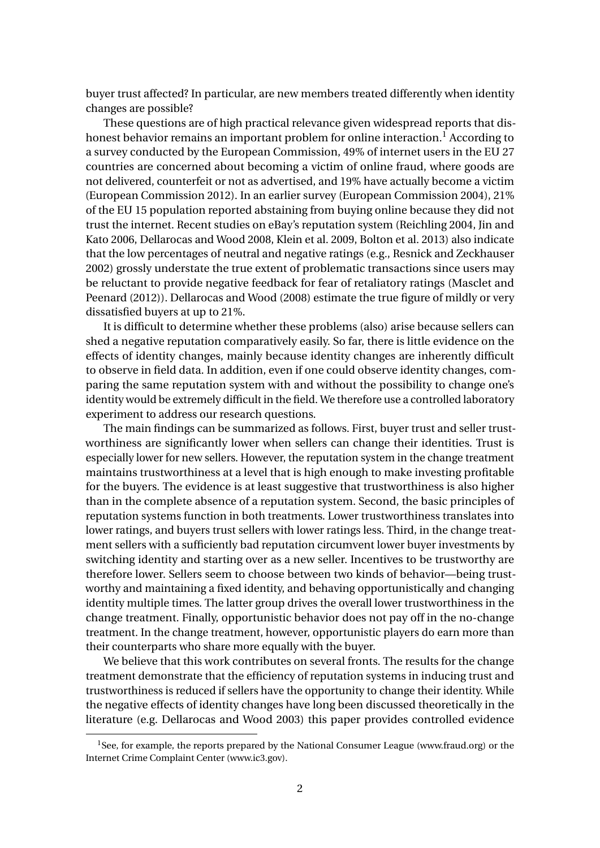buyer trust affected? In particular, are new members treated differently when identity changes are possible?

These questions are of high practical relevance given widespread reports that dishonest behavior remains an important problem for online interaction.<sup>1</sup> According to a survey conducted by the European Commission, 49% of internet users in the EU 27 countries are concerned about becoming a victim of online fraud, where goods are not delivered, counterfeit or not as advertised, and 19% have actually become a victim (European Commission 2012). In an earlier survey (European Commission 2004), 21% of the EU 15 population reported abstaining from buying online because they did not trust the internet. Recent studies on eBay's reputation system (Reichling 2004, Jin and Kato 2006, Dellarocas and Wood 2008, Klein et al. 2009, Bolton et al. 2013) also indicate that the low percentages of neutral and negative ratings (e.g., Resnick and Zeckhauser 2002) grossly understate the true extent of problematic transactions since users may be reluctant to provide negative feedback for fear of retaliatory ratings (Masclet and Peenard (2012)). Dellarocas and Wood (2008) estimate the true figure of mildly or very dissatisfied buyers at up to 21%.

It is difficult to determine whether these problems (also) arise because sellers can shed a negative reputation comparatively easily. So far, there is little evidence on the effects of identity changes, mainly because identity changes are inherently difficult to observe in field data. In addition, even if one could observe identity changes, comparing the same reputation system with and without the possibility to change one's identity would be extremely difficult in the field. We therefore use a controlled laboratory experiment to address our research questions.

The main findings can be summarized as follows. First, buyer trust and seller trustworthiness are significantly lower when sellers can change their identities. Trust is especially lower for new sellers. However, the reputation system in the change treatment maintains trustworthiness at a level that is high enough to make investing profitable for the buyers. The evidence is at least suggestive that trustworthiness is also higher than in the complete absence of a reputation system. Second, the basic principles of reputation systems function in both treatments. Lower trustworthiness translates into lower ratings, and buyers trust sellers with lower ratings less. Third, in the change treatment sellers with a sufficiently bad reputation circumvent lower buyer investments by switching identity and starting over as a new seller. Incentives to be trustworthy are therefore lower. Sellers seem to choose between two kinds of behavior—being trustworthy and maintaining a fixed identity, and behaving opportunistically and changing identity multiple times. The latter group drives the overall lower trustworthiness in the change treatment. Finally, opportunistic behavior does not pay off in the no-change treatment. In the change treatment, however, opportunistic players do earn more than their counterparts who share more equally with the buyer.

We believe that this work contributes on several fronts. The results for the change treatment demonstrate that the efficiency of reputation systems in inducing trust and trustworthiness is reduced if sellers have the opportunity to change their identity. While the negative effects of identity changes have long been discussed theoretically in the literature (e.g. Dellarocas and Wood 2003) this paper provides controlled evidence

<sup>&</sup>lt;sup>1</sup>See, for example, the reports prepared by the National Consumer League (www.fraud.org) or the Internet Crime Complaint Center (www.ic3.gov).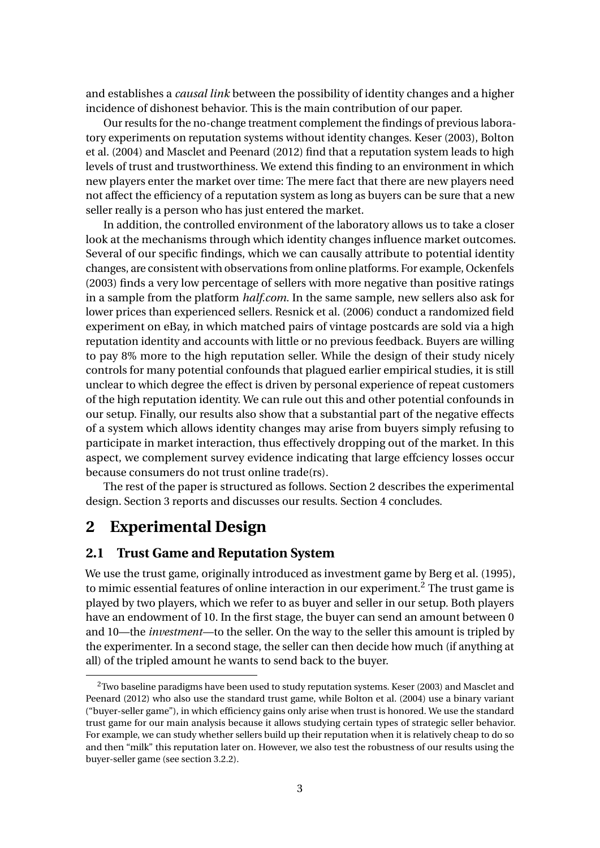and establishes a *causal link* between the possibility of identity changes and a higher incidence of dishonest behavior. This is the main contribution of our paper.

Our results for the no-change treatment complement the findings of previous laboratory experiments on reputation systems without identity changes. Keser (2003), Bolton et al. (2004) and Masclet and Peenard (2012) find that a reputation system leads to high levels of trust and trustworthiness. We extend this finding to an environment in which new players enter the market over time: The mere fact that there are new players need not affect the efficiency of a reputation system as long as buyers can be sure that a new seller really is a person who has just entered the market.

In addition, the controlled environment of the laboratory allows us to take a closer look at the mechanisms through which identity changes influence market outcomes. Several of our specific findings, which we can causally attribute to potential identity changes, are consistent with observations from online platforms. For example, Ockenfels (2003) finds a very low percentage of sellers with more negative than positive ratings in a sample from the platform *half.com*. In the same sample, new sellers also ask for lower prices than experienced sellers. Resnick et al. (2006) conduct a randomized field experiment on eBay, in which matched pairs of vintage postcards are sold via a high reputation identity and accounts with little or no previous feedback. Buyers are willing to pay 8% more to the high reputation seller. While the design of their study nicely controls for many potential confounds that plagued earlier empirical studies, it is still unclear to which degree the effect is driven by personal experience of repeat customers of the high reputation identity. We can rule out this and other potential confounds in our setup. Finally, our results also show that a substantial part of the negative effects of a system which allows identity changes may arise from buyers simply refusing to participate in market interaction, thus effectively dropping out of the market. In this aspect, we complement survey evidence indicating that large effciency losses occur because consumers do not trust online trade(rs).

The rest of the paper is structured as follows. Section 2 describes the experimental design. Section 3 reports and discusses our results. Section 4 concludes.

### **2 Experimental Design**

#### **2.1 Trust Game and Reputation System**

We use the trust game, originally introduced as investment game by Berg et al. (1995), to mimic essential features of online interaction in our experiment.<sup>2</sup> The trust game is played by two players, which we refer to as buyer and seller in our setup. Both players have an endowment of 10. In the first stage, the buyer can send an amount between 0 and 10—the *investment*—to the seller. On the way to the seller this amount is tripled by the experimenter. In a second stage, the seller can then decide how much (if anything at all) of the tripled amount he wants to send back to the buyer.

<sup>&</sup>lt;sup>2</sup> Two baseline paradigms have been used to study reputation systems. Keser (2003) and Masclet and Peenard (2012) who also use the standard trust game, while Bolton et al. (2004) use a binary variant ("buyer-seller game"), in which efficiency gains only arise when trust is honored. We use the standard trust game for our main analysis because it allows studying certain types of strategic seller behavior. For example, we can study whether sellers build up their reputation when it is relatively cheap to do so and then "milk" this reputation later on. However, we also test the robustness of our results using the buyer-seller game (see section 3.2.2).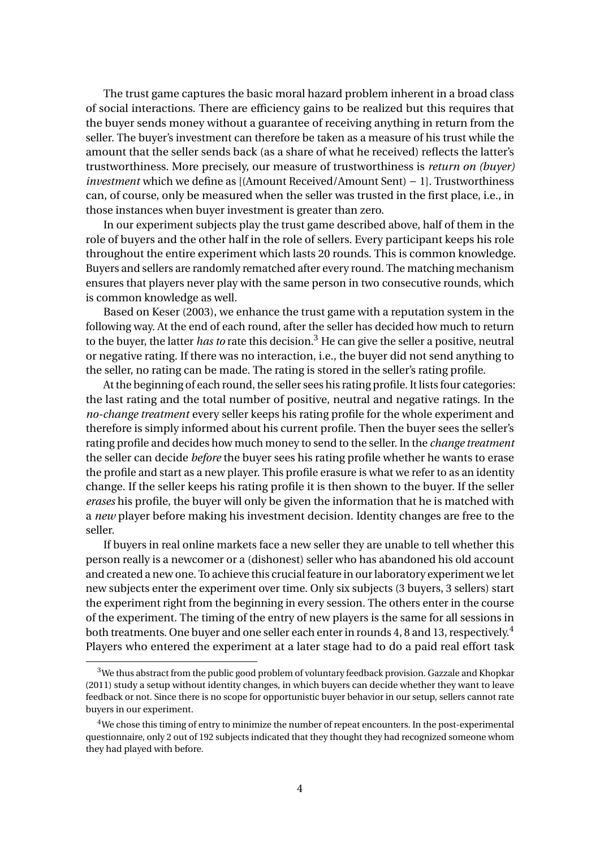The trust game captures the basic moral hazard problem inherent in a broad class of social interactions. There are efficiency gains to be realized but this requires that the buyer sends money without a guarantee of receiving anything in return from the seller. The buyer's investment can therefore be taken as a measure of his trust while the amount that the seller sends back (as a share of what he received) reflects the latter's trustworthiness. More precisely, our measure of trustworthiness is *return on (buyer) investment* which we define as [(Amount Received/Amount Sent) − 1]. Trustworthiness can, of course, only be measured when the seller was trusted in the first place, i.e., in those instances when buyer investment is greater than zero.

In our experiment subjects play the trust game described above, half of them in the role of buyers and the other half in the role of sellers. Every participant keeps his role throughout the entire experiment which lasts 20 rounds. This is common knowledge. Buyers and sellers are randomly rematched after every round. The matching mechanism ensures that players never play with the same person in two consecutive rounds, which is common knowledge as well.

Based on Keser (2003), we enhance the trust game with a reputation system in the following way. At the end of each round, after the seller has decided how much to return to the buyer, the latter *has to* rate this decision.<sup>3</sup> He can give the seller a positive, neutral or negative rating. If there was no interaction, i.e., the buyer did not send anything to the seller, no rating can be made. The rating is stored in the seller's rating profile.

At the beginning of each round, the seller sees his rating profile. It lists four categories: the last rating and the total number of positive, neutral and negative ratings. In the *no-change treatment* every seller keeps his rating profile for the whole experiment and therefore is simply informed about his current profile. Then the buyer sees the seller's rating profile and decides how much money to send to the seller. In the *change treatment* the seller can decide *before* the buyer sees his rating profile whether he wants to erase the profile and start as a new player. This profile erasure is what we refer to as an identity change. If the seller keeps his rating profile it is then shown to the buyer. If the seller *erases* his profile, the buyer will only be given the information that he is matched with a *new* player before making his investment decision. Identity changes are free to the seller.

If buyers in real online markets face a new seller they are unable to tell whether this person really is a newcomer or a (dishonest) seller who has abandoned his old account and created a new one. To achieve this crucial feature in our laboratory experiment we let new subjects enter the experiment over time. Only six subjects (3 buyers, 3 sellers) start the experiment right from the beginning in every session. The others enter in the course of the experiment. The timing of the entry of new players is the same for all sessions in both treatments. One buyer and one seller each enter in rounds 4, 8 and 13, respectively.<sup>4</sup> Players who entered the experiment at a later stage had to do a paid real effort task

<sup>&</sup>lt;sup>3</sup>We thus abstract from the public good problem of voluntary feedback provision. Gazzale and Khopkar (2011) study a setup without identity changes, in which buyers can decide whether they want to leave feedback or not. Since there is no scope for opportunistic buyer behavior in our setup, sellers cannot rate buyers in our experiment.

<sup>4</sup>We chose this timing of entry to minimize the number of repeat encounters. In the post-experimental questionnaire, only 2 out of 192 subjects indicated that they thought they had recognized someone whom they had played with before.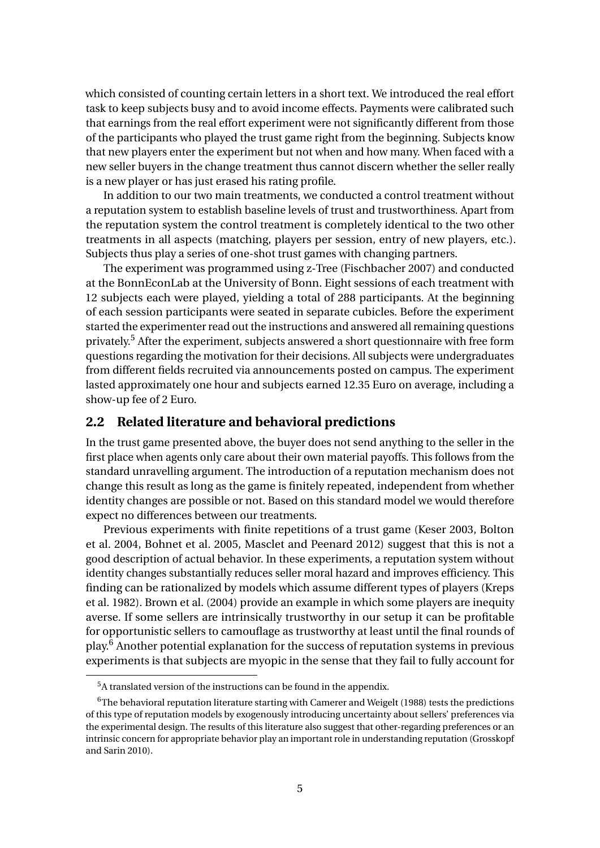which consisted of counting certain letters in a short text. We introduced the real effort task to keep subjects busy and to avoid income effects. Payments were calibrated such that earnings from the real effort experiment were not significantly different from those of the participants who played the trust game right from the beginning. Subjects know that new players enter the experiment but not when and how many. When faced with a new seller buyers in the change treatment thus cannot discern whether the seller really is a new player or has just erased his rating profile.

In addition to our two main treatments, we conducted a control treatment without a reputation system to establish baseline levels of trust and trustworthiness. Apart from the reputation system the control treatment is completely identical to the two other treatments in all aspects (matching, players per session, entry of new players, etc.). Subjects thus play a series of one-shot trust games with changing partners.

The experiment was programmed using z-Tree (Fischbacher 2007) and conducted at the BonnEconLab at the University of Bonn. Eight sessions of each treatment with 12 subjects each were played, yielding a total of 288 participants. At the beginning of each session participants were seated in separate cubicles. Before the experiment started the experimenter read out the instructions and answered all remaining questions privately.<sup>5</sup> After the experiment, subjects answered a short questionnaire with free form questions regarding the motivation for their decisions. All subjects were undergraduates from different fields recruited via announcements posted on campus. The experiment lasted approximately one hour and subjects earned 12.35 Euro on average, including a show-up fee of 2 Euro.

#### **2.2 Related literature and behavioral predictions**

In the trust game presented above, the buyer does not send anything to the seller in the first place when agents only care about their own material payoffs. This follows from the standard unravelling argument. The introduction of a reputation mechanism does not change this result as long as the game is finitely repeated, independent from whether identity changes are possible or not. Based on this standard model we would therefore expect no differences between our treatments.

Previous experiments with finite repetitions of a trust game (Keser 2003, Bolton et al. 2004, Bohnet et al. 2005, Masclet and Peenard 2012) suggest that this is not a good description of actual behavior. In these experiments, a reputation system without identity changes substantially reduces seller moral hazard and improves efficiency. This finding can be rationalized by models which assume different types of players (Kreps et al. 1982). Brown et al. (2004) provide an example in which some players are inequity averse. If some sellers are intrinsically trustworthy in our setup it can be profitable for opportunistic sellers to camouflage as trustworthy at least until the final rounds of play.<sup>6</sup> Another potential explanation for the success of reputation systems in previous experiments is that subjects are myopic in the sense that they fail to fully account for

<sup>&</sup>lt;sup>5</sup>A translated version of the instructions can be found in the appendix.

 $6$ The behavioral reputation literature starting with Camerer and Weigelt (1988) tests the predictions of this type of reputation models by exogenously introducing uncertainty about sellers' preferences via the experimental design. The results of this literature also suggest that other-regarding preferences or an intrinsic concern for appropriate behavior play an important role in understanding reputation (Grosskopf and Sarin 2010).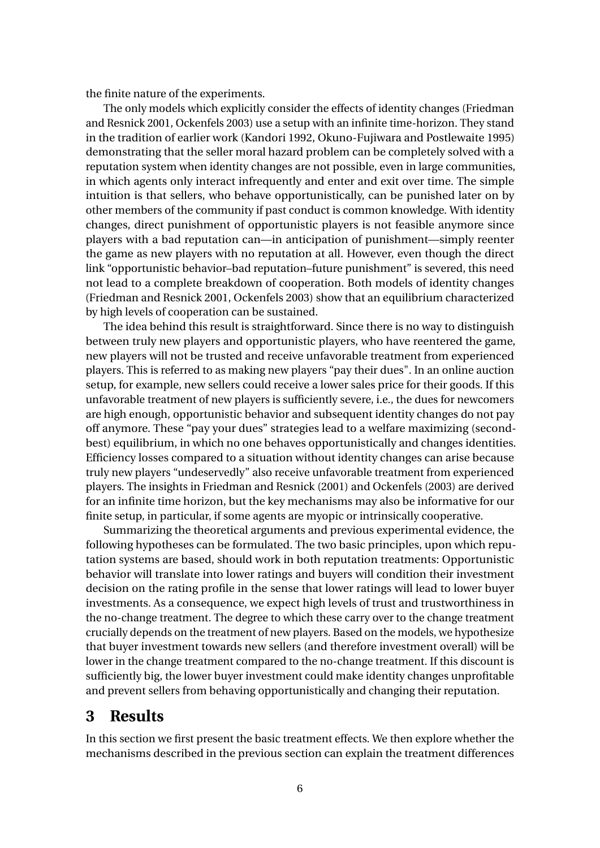the finite nature of the experiments.

The only models which explicitly consider the effects of identity changes (Friedman and Resnick 2001, Ockenfels 2003) use a setup with an infinite time-horizon. They stand in the tradition of earlier work (Kandori 1992, Okuno-Fujiwara and Postlewaite 1995) demonstrating that the seller moral hazard problem can be completely solved with a reputation system when identity changes are not possible, even in large communities, in which agents only interact infrequently and enter and exit over time. The simple intuition is that sellers, who behave opportunistically, can be punished later on by other members of the community if past conduct is common knowledge. With identity changes, direct punishment of opportunistic players is not feasible anymore since players with a bad reputation can—in anticipation of punishment—simply reenter the game as new players with no reputation at all. However, even though the direct link "opportunistic behavior–bad reputation–future punishment" is severed, this need not lead to a complete breakdown of cooperation. Both models of identity changes (Friedman and Resnick 2001, Ockenfels 2003) show that an equilibrium characterized by high levels of cooperation can be sustained.

The idea behind this result is straightforward. Since there is no way to distinguish between truly new players and opportunistic players, who have reentered the game, new players will not be trusted and receive unfavorable treatment from experienced players. This is referred to as making new players "pay their dues". In an online auction setup, for example, new sellers could receive a lower sales price for their goods. If this unfavorable treatment of new players is sufficiently severe, i.e., the dues for newcomers are high enough, opportunistic behavior and subsequent identity changes do not pay off anymore. These "pay your dues" strategies lead to a welfare maximizing (secondbest) equilibrium, in which no one behaves opportunistically and changes identities. Efficiency losses compared to a situation without identity changes can arise because truly new players "undeservedly" also receive unfavorable treatment from experienced players. The insights in Friedman and Resnick (2001) and Ockenfels (2003) are derived for an infinite time horizon, but the key mechanisms may also be informative for our finite setup, in particular, if some agents are myopic or intrinsically cooperative.

Summarizing the theoretical arguments and previous experimental evidence, the following hypotheses can be formulated. The two basic principles, upon which reputation systems are based, should work in both reputation treatments: Opportunistic behavior will translate into lower ratings and buyers will condition their investment decision on the rating profile in the sense that lower ratings will lead to lower buyer investments. As a consequence, we expect high levels of trust and trustworthiness in the no-change treatment. The degree to which these carry over to the change treatment crucially depends on the treatment of new players. Based on the models, we hypothesize that buyer investment towards new sellers (and therefore investment overall) will be lower in the change treatment compared to the no-change treatment. If this discount is sufficiently big, the lower buyer investment could make identity changes unprofitable and prevent sellers from behaving opportunistically and changing their reputation.

### **3 Results**

In this section we first present the basic treatment effects. We then explore whether the mechanisms described in the previous section can explain the treatment differences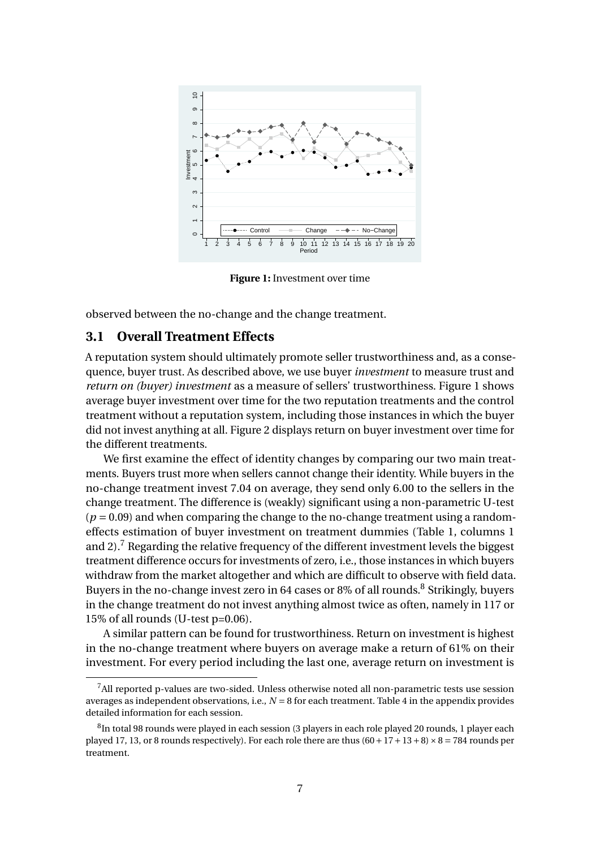

**Figure 1:** Investment over time

observed between the no-change and the change treatment.

#### **3.1 Overall Treatment Effects**

A reputation system should ultimately promote seller trustworthiness and, as a consequence, buyer trust. As described above, we use buyer *investment* to measure trust and *return on (buyer) investment* as a measure of sellers' trustworthiness. Figure 1 shows average buyer investment over time for the two reputation treatments and the control treatment without a reputation system, including those instances in which the buyer did not invest anything at all. Figure 2 displays return on buyer investment over time for the different treatments.

We first examine the effect of identity changes by comparing our two main treatments. Buyers trust more when sellers cannot change their identity. While buyers in the no-change treatment invest 7.04 on average, they send only 6.00 to the sellers in the change treatment. The difference is (weakly) significant using a non-parametric U-test  $(p = 0.09)$  and when comparing the change to the no-change treatment using a randomeffects estimation of buyer investment on treatment dummies (Table 1, columns 1 and 2).<sup>7</sup> Regarding the relative frequency of the different investment levels the biggest treatment difference occurs for investments of zero, i.e., those instances in which buyers withdraw from the market altogether and which are difficult to observe with field data. Buyers in the no-change invest zero in 64 cases or 8% of all rounds.<sup>8</sup> Strikingly, buyers in the change treatment do not invest anything almost twice as often, namely in 117 or 15% of all rounds (U-test p=0.06).

A similar pattern can be found for trustworthiness. Return on investment is highest in the no-change treatment where buyers on average make a return of 61% on their investment. For every period including the last one, average return on investment is

 $<sup>7</sup>$ All reported p-values are two-sided. Unless otherwise noted all non-parametric tests use session</sup> averages as independent observations, i.e.,  $N = 8$  for each treatment. Table 4 in the appendix provides detailed information for each session.

 $^8{\rm In}$  total 98 rounds were played in each session (3 players in each role played 20 rounds, 1 player each played 17, 13, or 8 rounds respectively). For each role there are thus  $(60+17+13+8) \times 8 = 784$  rounds per treatment.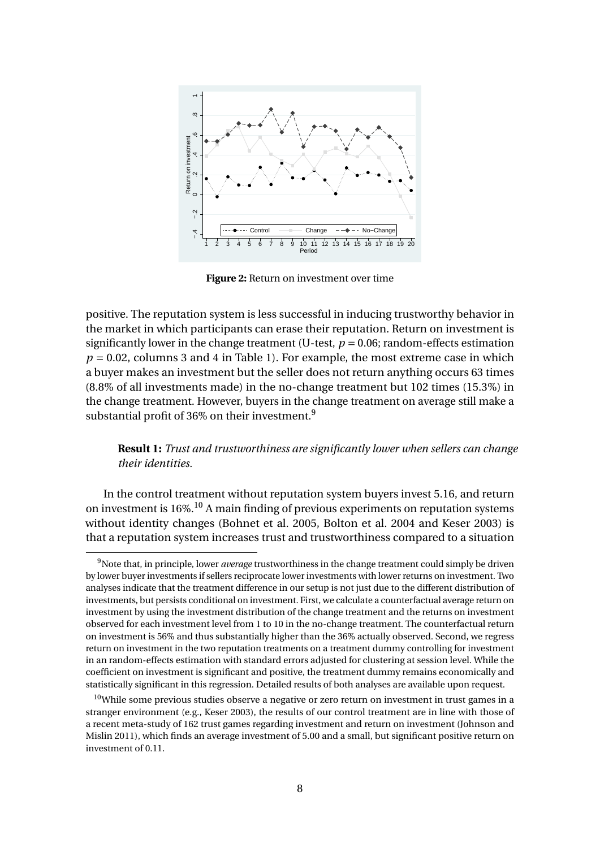

**Figure 2:** Return on investment over time

positive. The reputation system is less successful in inducing trustworthy behavior in the market in which participants can erase their reputation. Return on investment is significantly lower in the change treatment (U-test,  $p = 0.06$ ; random-effects estimation  $p = 0.02$ , columns 3 and 4 in Table 1). For example, the most extreme case in which a buyer makes an investment but the seller does not return anything occurs 63 times (8.8% of all investments made) in the no-change treatment but 102 times (15.3%) in the change treatment. However, buyers in the change treatment on average still make a substantial profit of 36% on their investment.<sup>9</sup>

#### **Result 1:** *Trust and trustworthiness are significantly lower when sellers can change their identities.*

In the control treatment without reputation system buyers invest 5.16, and return on investment is 16%.<sup>10</sup> A main finding of previous experiments on reputation systems without identity changes (Bohnet et al. 2005, Bolton et al. 2004 and Keser 2003) is that a reputation system increases trust and trustworthiness compared to a situation

<sup>9</sup>Note that, in principle, lower *average* trustworthiness in the change treatment could simply be driven by lower buyer investments if sellers reciprocate lower investments with lower returns on investment. Two analyses indicate that the treatment difference in our setup is not just due to the different distribution of investments, but persists conditional on investment. First, we calculate a counterfactual average return on investment by using the investment distribution of the change treatment and the returns on investment observed for each investment level from 1 to 10 in the no-change treatment. The counterfactual return on investment is 56% and thus substantially higher than the 36% actually observed. Second, we regress return on investment in the two reputation treatments on a treatment dummy controlling for investment in an random-effects estimation with standard errors adjusted for clustering at session level. While the coefficient on investment is significant and positive, the treatment dummy remains economically and statistically significant in this regression. Detailed results of both analyses are available upon request.

 $10$ While some previous studies observe a negative or zero return on investment in trust games in a stranger environment (e.g., Keser 2003), the results of our control treatment are in line with those of a recent meta-study of 162 trust games regarding investment and return on investment (Johnson and Mislin 2011), which finds an average investment of 5.00 and a small, but significant positive return on investment of 0.11.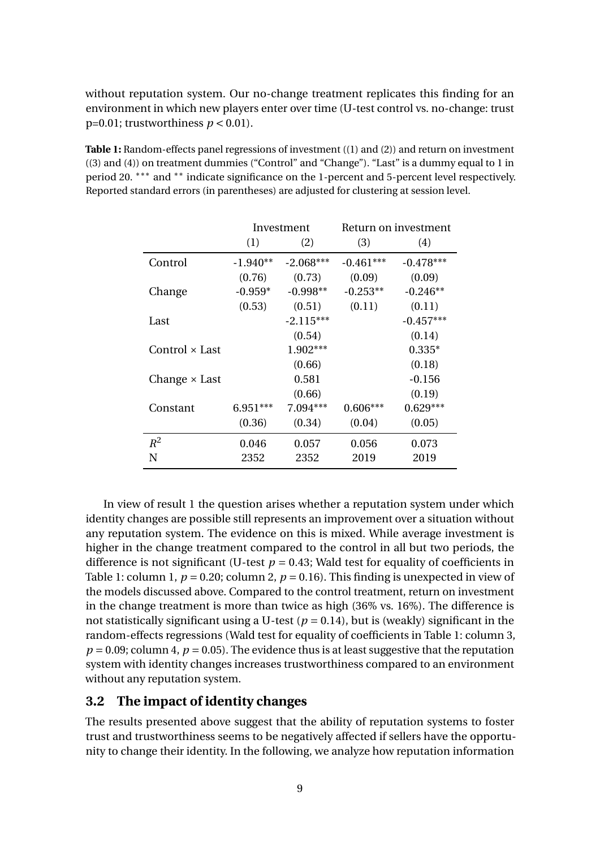without reputation system. Our no-change treatment replicates this finding for an environment in which new players enter over time (U-test control vs. no-change: trust  $p=0.01$ ; trustworthiness  $p < 0.01$ ).

**Table 1:** Random-effects panel regressions of investment ((1) and (2)) and return on investment ((3) and (4)) on treatment dummies ("Control" and "Change"). "Last" is a dummy equal to 1 in period 20. <sup>\*\*\*</sup> and <sup>\*\*</sup> indicate significance on the 1-percent and 5-percent level respectively. Reported standard errors (in parentheses) are adjusted for clustering at session level.

|                      |            | Investment  |             | Return on investment |
|----------------------|------------|-------------|-------------|----------------------|
|                      | (1)        | (2)         | (3)         | (4)                  |
| Control              | $-1.940**$ | $-2.068***$ | $-0.461***$ | $-0.478***$          |
|                      | (0.76)     | (0.73)      | (0.09)      | (0.09)               |
| Change               | $-0.959*$  | $-0.998**$  | $-0.253**$  | $-0.246**$           |
|                      | (0.53)     | (0.51)      | (0.11)      | (0.11)               |
| Last                 |            | $-2.115***$ |             | $-0.457***$          |
|                      |            | (0.54)      |             | (0.14)               |
| Control × Last       |            | $1.902***$  |             | $0.335*$             |
|                      |            | (0.66)      |             | (0.18)               |
| Change $\times$ Last |            | 0.581       |             | $-0.156$             |
|                      |            | (0.66)      |             | (0.19)               |
| Constant             | 6.951***   | $7.094***$  | $0.606***$  | $0.629***$           |
|                      | (0.36)     | (0.34)      | (0.04)      | (0.05)               |
| $R^2$                | 0.046      | 0.057       | 0.056       | 0.073                |
| N                    | 2352       | 2352        | 2019        | 2019                 |

In view of result 1 the question arises whether a reputation system under which identity changes are possible still represents an improvement over a situation without any reputation system. The evidence on this is mixed. While average investment is higher in the change treatment compared to the control in all but two periods, the difference is not significant (U-test  $p = 0.43$ ; Wald test for equality of coefficients in Table 1: column 1,  $p = 0.20$ ; column 2,  $p = 0.16$ ). This finding is unexpected in view of the models discussed above. Compared to the control treatment, return on investment in the change treatment is more than twice as high (36% vs. 16%). The difference is not statistically significant using a U-test  $(p = 0.14)$ , but is (weakly) significant in the random-effects regressions (Wald test for equality of coefficients in Table 1: column 3,  $p = 0.09$ ; column 4,  $p = 0.05$ ). The evidence thus is at least suggestive that the reputation system with identity changes increases trustworthiness compared to an environment without any reputation system.

#### **3.2 The impact of identity changes**

The results presented above suggest that the ability of reputation systems to foster trust and trustworthiness seems to be negatively affected if sellers have the opportunity to change their identity. In the following, we analyze how reputation information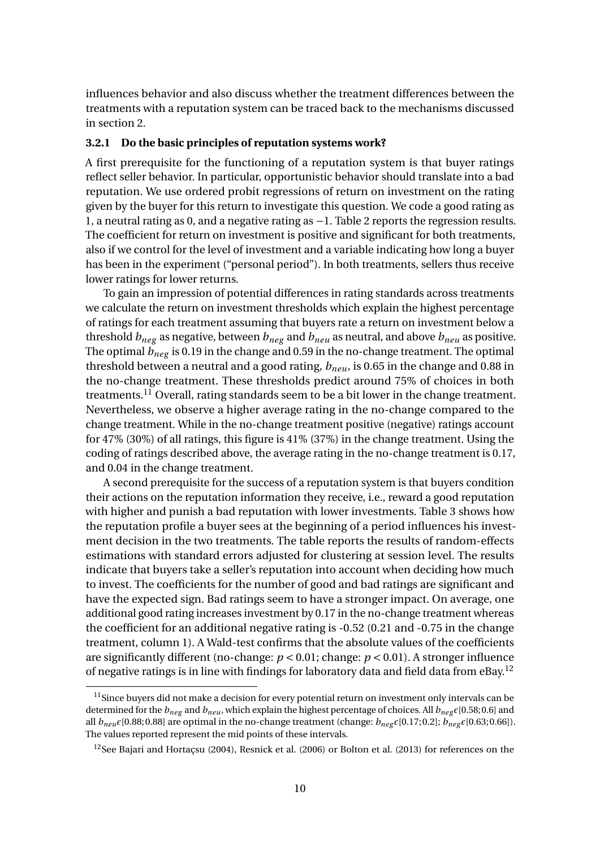influences behavior and also discuss whether the treatment differences between the treatments with a reputation system can be traced back to the mechanisms discussed in section 2.

#### **3.2.1 Do the basic principles of reputation systems work?**

A first prerequisite for the functioning of a reputation system is that buyer ratings reflect seller behavior. In particular, opportunistic behavior should translate into a bad reputation. We use ordered probit regressions of return on investment on the rating given by the buyer for this return to investigate this question. We code a good rating as 1, a neutral rating as 0, and a negative rating as −1. Table 2 reports the regression results. The coefficient for return on investment is positive and significant for both treatments, also if we control for the level of investment and a variable indicating how long a buyer has been in the experiment ("personal period"). In both treatments, sellers thus receive lower ratings for lower returns.

To gain an impression of potential differences in rating standards across treatments we calculate the return on investment thresholds which explain the highest percentage of ratings for each treatment assuming that buyers rate a return on investment below a threshold *bneg* as negative, between *bneg* and *bneu* as neutral, and above *bneu* as positive. The optimal *bneg* is 0.19 in the change and 0.59 in the no-change treatment. The optimal threshold between a neutral and a good rating, *bneu*, is 0.65 in the change and 0.88 in the no-change treatment. These thresholds predict around 75% of choices in both treatments.<sup>11</sup> Overall, rating standards seem to be a bit lower in the change treatment. Nevertheless, we observe a higher average rating in the no-change compared to the change treatment. While in the no-change treatment positive (negative) ratings account for 47% (30%) of all ratings, this figure is 41% (37%) in the change treatment. Using the coding of ratings described above, the average rating in the no-change treatment is 0.17, and 0.04 in the change treatment.

A second prerequisite for the success of a reputation system is that buyers condition their actions on the reputation information they receive, i.e., reward a good reputation with higher and punish a bad reputation with lower investments. Table 3 shows how the reputation profile a buyer sees at the beginning of a period influences his investment decision in the two treatments. The table reports the results of random-effects estimations with standard errors adjusted for clustering at session level. The results indicate that buyers take a seller's reputation into account when deciding how much to invest. The coefficients for the number of good and bad ratings are significant and have the expected sign. Bad ratings seem to have a stronger impact. On average, one additional good rating increases investment by 0.17 in the no-change treatment whereas the coefficient for an additional negative rating is -0.52 (0.21 and -0.75 in the change treatment, column 1). A Wald-test confirms that the absolute values of the coefficients are significantly different (no-change: *p* < 0.01; change: *p* < 0.01). A stronger influence of negative ratings is in line with findings for laboratory data and field data from  $eBay<sup>12</sup>$ 

 $11$ Since buyers did not make a decision for every potential return on investment only intervals can be determined for the  $b_{neg}$  and  $b_{neu}$ , which explain the highest percentage of choices. All  $b_{neg} \epsilon$ [0.58; 0.6] and all  $b_{neu} \epsilon$ [0.88; 0.88] are optimal in the no-change treatment (change:  $b_{neg} \epsilon$ [0.17; 0.2];  $b_{neg} \epsilon$ [0.63; 0.66]). The values reported represent the mid points of these intervals.

<sup>&</sup>lt;sup>12</sup>See Bajari and Hortacsu (2004), Resnick et al. (2006) or Bolton et al. (2013) for references on the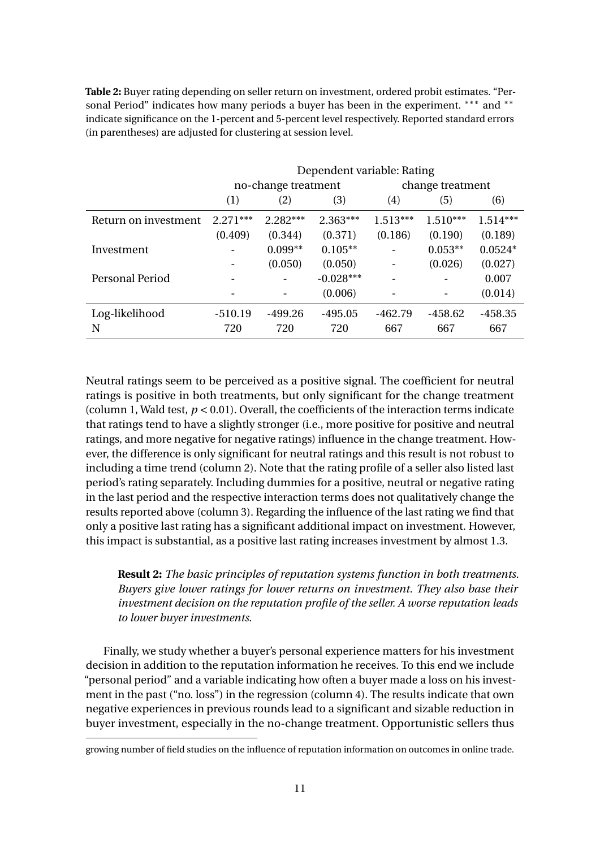**Table 2:** Buyer rating depending on seller return on investment, ordered probit estimates. "Personal Period" indicates how many periods a buyer has been in the experiment. \*\*\* and \*\* indicate significance on the 1-percent and 5-percent level respectively. Reported standard errors (in parentheses) are adjusted for clustering at session level.

|                      |            |                                              | Dependent variable: Rating |            |                  |            |  |
|----------------------|------------|----------------------------------------------|----------------------------|------------|------------------|------------|--|
|                      |            | no-change treatment                          |                            |            | change treatment |            |  |
|                      | (1)        | (2)                                          | (3)                        | (4)        | (5)              | (6)        |  |
| Return on investment | $2.271***$ | $2.282***$                                   | $2.363***$                 | $1.513***$ | $1.510***$       | $1.514***$ |  |
|                      | (0.409)    | (0.344)                                      | (0.371)                    | (0.186)    | (0.190)          | (0.189)    |  |
| Investment           |            | $0.099**$                                    | $0.105**$                  |            | $0.053**$        | $0.0524*$  |  |
|                      |            | (0.050)<br>(0.050)<br>$-0.028***$<br>(0.006) |                            |            | (0.026)          | (0.027)    |  |
| Personal Period      |            |                                              |                            |            |                  | 0.007      |  |
|                      |            |                                              |                            |            |                  | (0.014)    |  |
| Log-likelihood       | $-510.19$  | -499.26                                      | $-495.05$                  | $-462.79$  | $-458.62$        | $-458.35$  |  |
| N                    | 720        | 720                                          | 720                        | 667        | 667              | 667        |  |

Neutral ratings seem to be perceived as a positive signal. The coefficient for neutral ratings is positive in both treatments, but only significant for the change treatment (column 1, Wald test,  $p < 0.01$ ). Overall, the coefficients of the interaction terms indicate that ratings tend to have a slightly stronger (i.e., more positive for positive and neutral ratings, and more negative for negative ratings) influence in the change treatment. However, the difference is only significant for neutral ratings and this result is not robust to including a time trend (column 2). Note that the rating profile of a seller also listed last period's rating separately. Including dummies for a positive, neutral or negative rating in the last period and the respective interaction terms does not qualitatively change the results reported above (column 3). Regarding the influence of the last rating we find that only a positive last rating has a significant additional impact on investment. However, this impact is substantial, as a positive last rating increases investment by almost 1.3.

#### **Result 2:** *The basic principles of reputation systems function in both treatments. Buyers give lower ratings for lower returns on investment. They also base their investment decision on the reputation profile of the seller. A worse reputation leads to lower buyer investments.*

Finally, we study whether a buyer's personal experience matters for his investment decision in addition to the reputation information he receives. To this end we include "personal period" and a variable indicating how often a buyer made a loss on his investment in the past ("no. loss") in the regression (column 4). The results indicate that own negative experiences in previous rounds lead to a significant and sizable reduction in buyer investment, especially in the no-change treatment. Opportunistic sellers thus

growing number of field studies on the influence of reputation information on outcomes in online trade.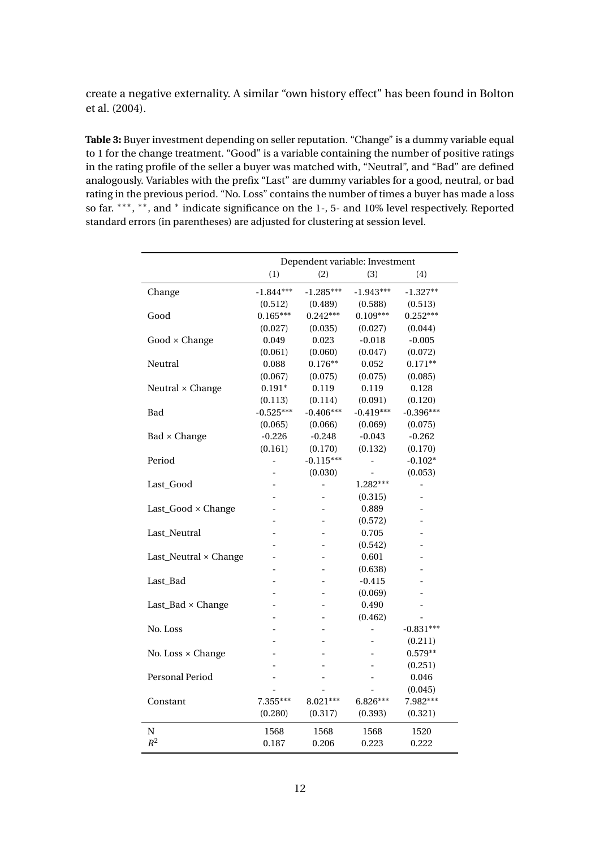create a negative externality. A similar "own history effect" has been found in Bolton et al. (2004).

**Table 3:** Buyer investment depending on seller reputation. "Change" is a dummy variable equal to 1 for the change treatment. "Good" is a variable containing the number of positive ratings in the rating profile of the seller a buyer was matched with, "Neutral", and "Bad" are defined analogously. Variables with the prefix "Last" are dummy variables for a good, neutral, or bad rating in the previous period. "No. Loss" contains the number of times a buyer has made a loss so far. \*\*\*, \*\*, and \* indicate significance on the 1-, 5- and 10% level respectively. Reported standard errors (in parentheses) are adjusted for clustering at session level.

|                          |             | Dependent variable: Investment |                |             |
|--------------------------|-------------|--------------------------------|----------------|-------------|
|                          | (1)         | (2)                            | (3)            | (4)         |
| Change                   | $-1.844***$ | $-1.285***$                    | $-1.943***$    | $-1.327**$  |
|                          | (0.512)     | (0.489)                        | (0.588)        | (0.513)     |
| Good                     | $0.165***$  | $0.242***$                     | $0.109***$     | $0.252***$  |
|                          | (0.027)     | (0.035)                        | (0.027)        | (0.044)     |
| $Good \times Change$     | 0.049       | 0.023                          | $-0.018$       | $-0.005$    |
|                          | (0.061)     | (0.060)                        | (0.047)        | (0.072)     |
| Neutral                  | 0.088       | $0.176**$                      | 0.052          | $0.171**$   |
|                          | (0.067)     | (0.075)                        | (0.075)        | (0.085)     |
| Neutral × Change         | $0.191*$    | 0.119                          | 0.119          | 0.128       |
|                          | (0.113)     | (0.114)                        | (0.091)        | (0.120)     |
| Bad                      | $-0.525***$ | $-0.406***$                    | $-0.419***$    | $-0.396***$ |
|                          | (0.065)     | (0.066)                        | (0.069)        | (0.075)     |
| Bad × Change             | $-0.226$    | $-0.248$                       | $-0.043$       | $-0.262$    |
|                          | (0.161)     | (0.170)                        | (0.132)        | (0.170)     |
| Period                   | -           | $-0.115***$                    |                | $-0.102*$   |
|                          |             | (0.030)                        |                | (0.053)     |
| Last_Good                |             | $\overline{a}$                 | $1.282***$     |             |
|                          |             |                                | (0.315)        |             |
| Last_Good × Change       |             |                                | 0.889          |             |
|                          |             |                                | (0.572)        |             |
| Last_Neutral             |             |                                | 0.705          |             |
|                          |             |                                | (0.542)        |             |
| Last_Neutral × Change    |             |                                | 0.601          |             |
|                          |             |                                | (0.638)        |             |
| Last_Bad                 |             |                                | $-0.415$       |             |
|                          |             |                                | (0.069)        |             |
| Last_Bad × Change        |             |                                | 0.490          |             |
|                          |             |                                | (0.462)        |             |
| No. Loss                 |             |                                | $\overline{a}$ | $-0.831***$ |
|                          |             |                                |                | (0.211)     |
| No. Loss $\times$ Change |             |                                |                | $0.579**$   |
|                          |             |                                |                | (0.251)     |
| Personal Period          |             |                                |                | 0.046       |
|                          |             |                                |                | (0.045)     |
| Constant                 | 7.355***    | 8.021***                       | $6.826***$     | 7.982***    |
|                          | (0.280)     |                                | (0.393)        | (0.321)     |
|                          | 1568        | 1568                           | 1568           | 1520        |
| $R^2$                    | 0.187       | 0.206                          | 0.223          | 0.222       |
| N                        |             | (0.317)                        |                |             |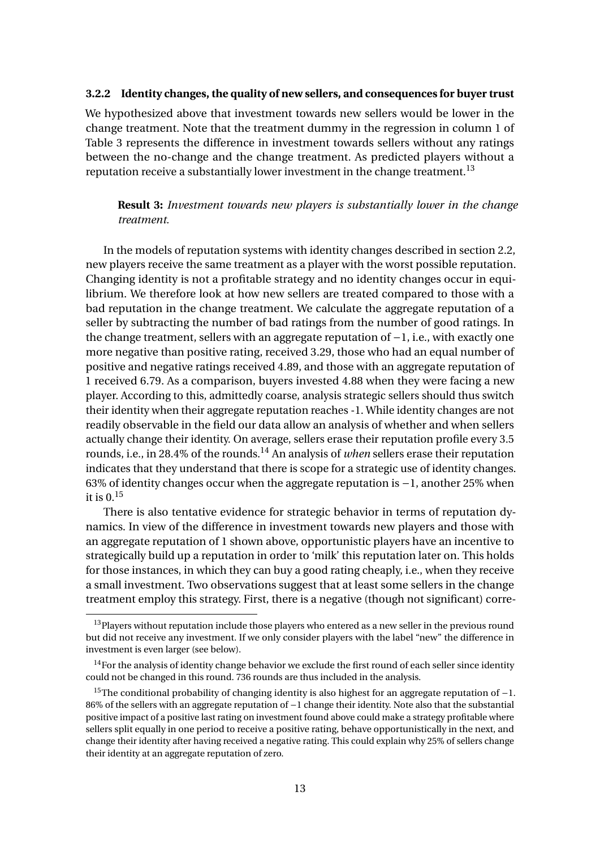#### **3.2.2 Identity changes, the quality of new sellers, and consequences for buyer trust**

We hypothesized above that investment towards new sellers would be lower in the change treatment. Note that the treatment dummy in the regression in column 1 of Table 3 represents the difference in investment towards sellers without any ratings between the no-change and the change treatment. As predicted players without a reputation receive a substantially lower investment in the change treatment.<sup>13</sup>

#### **Result 3:** *Investment towards new players is substantially lower in the change treatment.*

In the models of reputation systems with identity changes described in section 2.2, new players receive the same treatment as a player with the worst possible reputation. Changing identity is not a profitable strategy and no identity changes occur in equilibrium. We therefore look at how new sellers are treated compared to those with a bad reputation in the change treatment. We calculate the aggregate reputation of a seller by subtracting the number of bad ratings from the number of good ratings. In the change treatment, sellers with an aggregate reputation of −1, i.e., with exactly one more negative than positive rating, received 3.29, those who had an equal number of positive and negative ratings received 4.89, and those with an aggregate reputation of 1 received 6.79. As a comparison, buyers invested 4.88 when they were facing a new player. According to this, admittedly coarse, analysis strategic sellers should thus switch their identity when their aggregate reputation reaches -1. While identity changes are not readily observable in the field our data allow an analysis of whether and when sellers actually change their identity. On average, sellers erase their reputation profile every 3.5 rounds, i.e., in 28.4% of the rounds.<sup>14</sup> An analysis of *when* sellers erase their reputation indicates that they understand that there is scope for a strategic use of identity changes. 63% of identity changes occur when the aggregate reputation is −1, another 25% when it is  $0.15$ 

There is also tentative evidence for strategic behavior in terms of reputation dynamics. In view of the difference in investment towards new players and those with an aggregate reputation of 1 shown above, opportunistic players have an incentive to strategically build up a reputation in order to 'milk' this reputation later on. This holds for those instances, in which they can buy a good rating cheaply, i.e., when they receive a small investment. Two observations suggest that at least some sellers in the change treatment employ this strategy. First, there is a negative (though not significant) corre-

<sup>&</sup>lt;sup>13</sup>Players without reputation include those players who entered as a new seller in the previous round but did not receive any investment. If we only consider players with the label "new" the difference in investment is even larger (see below).

 $14$  For the analysis of identity change behavior we exclude the first round of each seller since identity could not be changed in this round. 736 rounds are thus included in the analysis.

<sup>&</sup>lt;sup>15</sup>The conditional probability of changing identity is also highest for an aggregate reputation of  $-1$ . 86% of the sellers with an aggregate reputation of −1 change their identity. Note also that the substantial positive impact of a positive last rating on investment found above could make a strategy profitable where sellers split equally in one period to receive a positive rating, behave opportunistically in the next, and change their identity after having received a negative rating. This could explain why 25% of sellers change their identity at an aggregate reputation of zero.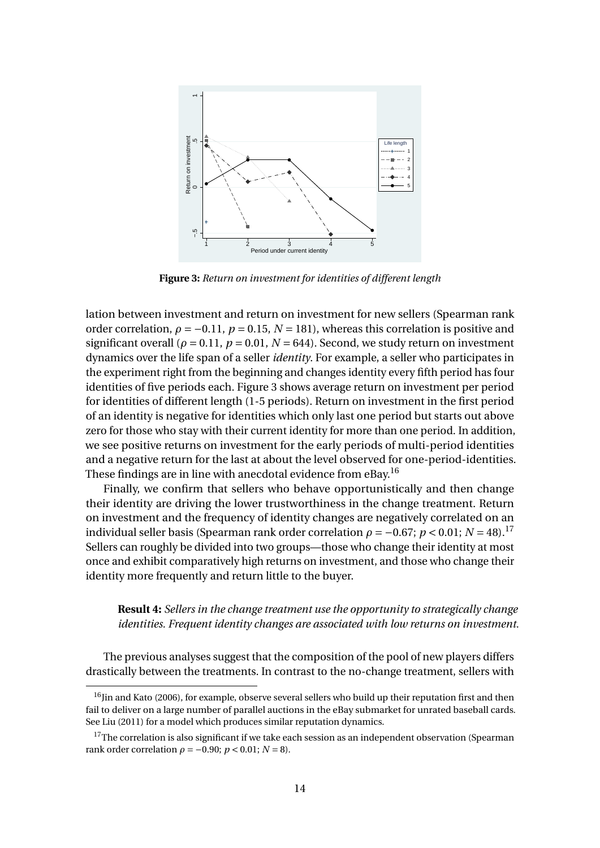

**Figure 3:** *Return on investment for identities of different length*

lation between investment and return on investment for new sellers (Spearman rank order correlation,  $\rho = -0.11$ ,  $p = 0.15$ ,  $N = 181$ ), whereas this correlation is positive and significant overall ( $\rho = 0.11$ ,  $p = 0.01$ ,  $N = 644$ ). Second, we study return on investment dynamics over the life span of a seller *identity*. For example, a seller who participates in the experiment right from the beginning and changes identity every fifth period has four identities of five periods each. Figure 3 shows average return on investment per period for identities of different length (1-5 periods). Return on investment in the first period of an identity is negative for identities which only last one period but starts out above zero for those who stay with their current identity for more than one period. In addition, we see positive returns on investment for the early periods of multi-period identities and a negative return for the last at about the level observed for one-period-identities. These findings are in line with anecdotal evidence from eBay.<sup>16</sup>

Finally, we confirm that sellers who behave opportunistically and then change their identity are driving the lower trustworthiness in the change treatment. Return on investment and the frequency of identity changes are negatively correlated on an individual seller basis (Spearman rank order correlation  $\rho = -0.67$ ;  $p < 0.01$ ;  $N = 48$ ).<sup>17</sup> Sellers can roughly be divided into two groups—those who change their identity at most once and exhibit comparatively high returns on investment, and those who change their identity more frequently and return little to the buyer.

**Result 4:** *Sellers in the change treatment use the opportunity to strategically change identities. Frequent identity changes are associated with low returns on investment.*

The previous analyses suggest that the composition of the pool of new players differs drastically between the treatments. In contrast to the no-change treatment, sellers with

<sup>&</sup>lt;sup>16</sup>Jin and Kato (2006), for example, observe several sellers who build up their reputation first and then fail to deliver on a large number of parallel auctions in the eBay submarket for unrated baseball cards. See Liu (2011) for a model which produces similar reputation dynamics.

 $17$ The correlation is also significant if we take each session as an independent observation (Spearman rank order correlation  $\rho = -0.90$ ;  $p < 0.01$ ;  $N = 8$ ).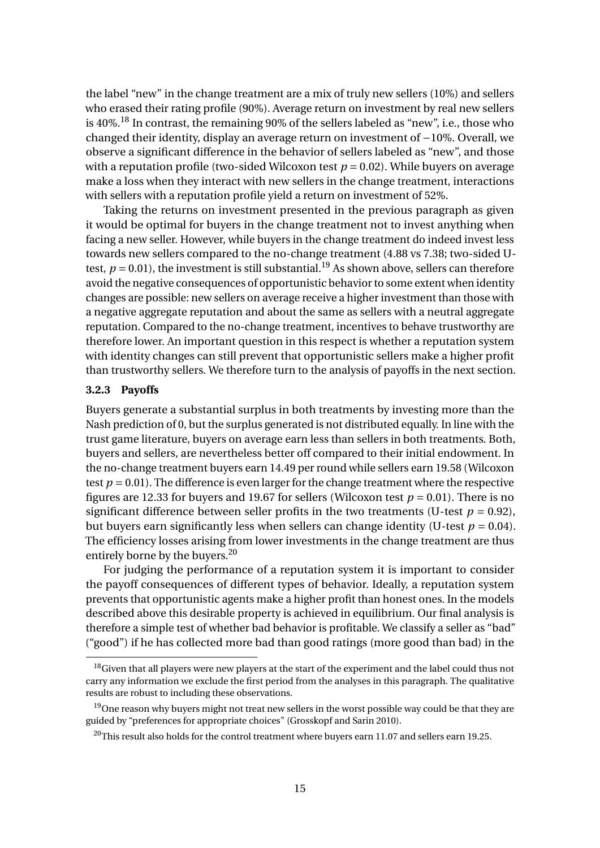the label "new" in the change treatment are a mix of truly new sellers (10%) and sellers who erased their rating profile (90%). Average return on investment by real new sellers is  $40\%$ <sup>18</sup>. In contrast, the remaining 90% of the sellers labeled as "new", i.e., those who changed their identity, display an average return on investment of −10%. Overall, we observe a significant difference in the behavior of sellers labeled as "new", and those with a reputation profile (two-sided Wilcoxon test  $p = 0.02$ ). While buyers on average make a loss when they interact with new sellers in the change treatment, interactions with sellers with a reputation profile yield a return on investment of 52%.

Taking the returns on investment presented in the previous paragraph as given it would be optimal for buyers in the change treatment not to invest anything when facing a new seller. However, while buyers in the change treatment do indeed invest less towards new sellers compared to the no-change treatment (4.88 vs 7.38; two-sided Utest,  $p = 0.01$ ), the investment is still substantial.<sup>19</sup> As shown above, sellers can therefore avoid the negative consequences of opportunistic behavior to some extent when identity changes are possible: new sellers on average receive a higher investment than those with a negative aggregate reputation and about the same as sellers with a neutral aggregate reputation. Compared to the no-change treatment, incentives to behave trustworthy are therefore lower. An important question in this respect is whether a reputation system with identity changes can still prevent that opportunistic sellers make a higher profit than trustworthy sellers. We therefore turn to the analysis of payoffs in the next section.

#### **3.2.3 Payoffs**

Buyers generate a substantial surplus in both treatments by investing more than the Nash prediction of 0, but the surplus generated is not distributed equally. In line with the trust game literature, buyers on average earn less than sellers in both treatments. Both, buyers and sellers, are nevertheless better off compared to their initial endowment. In the no-change treatment buyers earn 14.49 per round while sellers earn 19.58 (Wilcoxon test  $p = 0.01$ ). The difference is even larger for the change treatment where the respective figures are 12.33 for buyers and 19.67 for sellers (Wilcoxon test  $p = 0.01$ ). There is no significant difference between seller profits in the two treatments (U-test  $p = 0.92$ ), but buyers earn significantly less when sellers can change identity (U-test  $p = 0.04$ ). The efficiency losses arising from lower investments in the change treatment are thus entirely borne by the buyers.<sup>20</sup>

For judging the performance of a reputation system it is important to consider the payoff consequences of different types of behavior. Ideally, a reputation system prevents that opportunistic agents make a higher profit than honest ones. In the models described above this desirable property is achieved in equilibrium. Our final analysis is therefore a simple test of whether bad behavior is profitable. We classify a seller as "bad" ("good") if he has collected more bad than good ratings (more good than bad) in the

 $18$ Given that all players were new players at the start of the experiment and the label could thus not carry any information we exclude the first period from the analyses in this paragraph. The qualitative results are robust to including these observations.

<sup>&</sup>lt;sup>19</sup>One reason why buyers might not treat new sellers in the worst possible way could be that they are guided by "preferences for appropriate choices" (Grosskopf and Sarin 2010).

 $^{20}$ This result also holds for the control treatment where buyers earn 11.07 and sellers earn 19.25.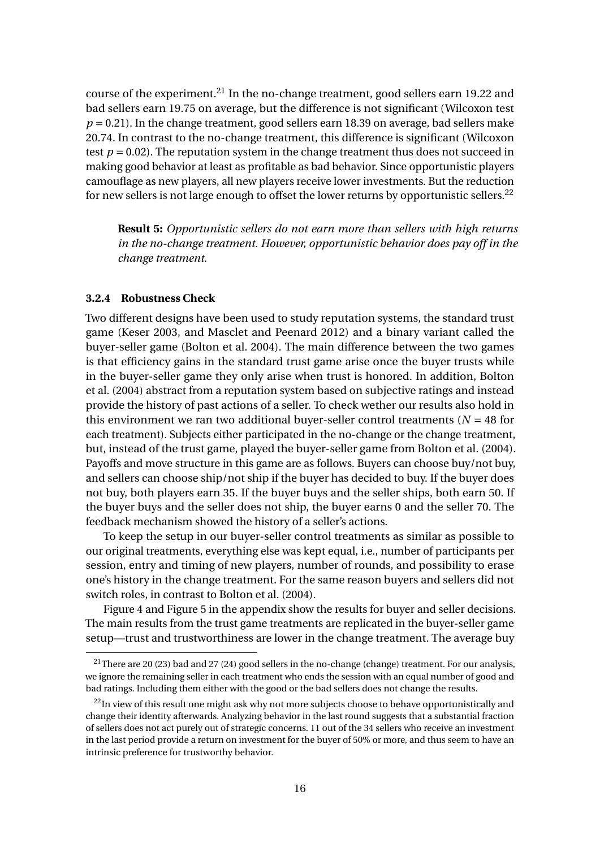course of the experiment.<sup>21</sup> In the no-change treatment, good sellers earn 19.22 and bad sellers earn 19.75 on average, but the difference is not significant (Wilcoxon test  $p = 0.21$ ). In the change treatment, good sellers earn 18.39 on average, bad sellers make 20.74. In contrast to the no-change treatment, this difference is significant (Wilcoxon test  $p = 0.02$ ). The reputation system in the change treatment thus does not succeed in making good behavior at least as profitable as bad behavior. Since opportunistic players camouflage as new players, all new players receive lower investments. But the reduction for new sellers is not large enough to offset the lower returns by opportunistic sellers.<sup>22</sup>

**Result 5:** *Opportunistic sellers do not earn more than sellers with high returns in the no-change treatment. However, opportunistic behavior does pay off in the change treatment.*

#### **3.2.4 Robustness Check**

Two different designs have been used to study reputation systems, the standard trust game (Keser 2003, and Masclet and Peenard 2012) and a binary variant called the buyer-seller game (Bolton et al. 2004). The main difference between the two games is that efficiency gains in the standard trust game arise once the buyer trusts while in the buyer-seller game they only arise when trust is honored. In addition, Bolton et al. (2004) abstract from a reputation system based on subjective ratings and instead provide the history of past actions of a seller. To check wether our results also hold in this environment we ran two additional buyer-seller control treatments ( $N = 48$  for each treatment). Subjects either participated in the no-change or the change treatment, but, instead of the trust game, played the buyer-seller game from Bolton et al. (2004). Payoffs and move structure in this game are as follows. Buyers can choose buy/not buy, and sellers can choose ship/not ship if the buyer has decided to buy. If the buyer does not buy, both players earn 35. If the buyer buys and the seller ships, both earn 50. If the buyer buys and the seller does not ship, the buyer earns 0 and the seller 70. The feedback mechanism showed the history of a seller's actions.

To keep the setup in our buyer-seller control treatments as similar as possible to our original treatments, everything else was kept equal, i.e., number of participants per session, entry and timing of new players, number of rounds, and possibility to erase one's history in the change treatment. For the same reason buyers and sellers did not switch roles, in contrast to Bolton et al. (2004).

Figure 4 and Figure 5 in the appendix show the results for buyer and seller decisions. The main results from the trust game treatments are replicated in the buyer-seller game setup—trust and trustworthiness are lower in the change treatment. The average buy

<sup>&</sup>lt;sup>21</sup>There are 20 (23) bad and 27 (24) good sellers in the no-change (change) treatment. For our analysis, we ignore the remaining seller in each treatment who ends the session with an equal number of good and bad ratings. Including them either with the good or the bad sellers does not change the results.

<sup>&</sup>lt;sup>22</sup>In view of this result one might ask why not more subjects choose to behave opportunistically and change their identity afterwards. Analyzing behavior in the last round suggests that a substantial fraction of sellers does not act purely out of strategic concerns. 11 out of the 34 sellers who receive an investment in the last period provide a return on investment for the buyer of 50% or more, and thus seem to have an intrinsic preference for trustworthy behavior.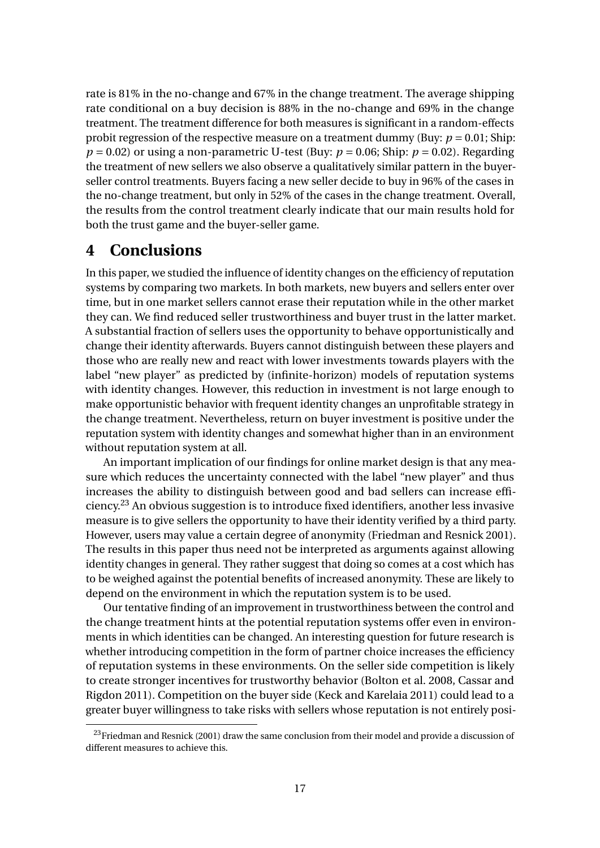rate is 81% in the no-change and 67% in the change treatment. The average shipping rate conditional on a buy decision is 88% in the no-change and 69% in the change treatment. The treatment difference for both measures is significant in a random-effects probit regression of the respective measure on a treatment dummy (Buy: *p* = 0.01; Ship:  $p = 0.02$ ) or using a non-parametric U-test (Buy:  $p = 0.06$ ; Ship:  $p = 0.02$ ). Regarding the treatment of new sellers we also observe a qualitatively similar pattern in the buyerseller control treatments. Buyers facing a new seller decide to buy in 96% of the cases in the no-change treatment, but only in 52% of the cases in the change treatment. Overall, the results from the control treatment clearly indicate that our main results hold for both the trust game and the buyer-seller game.

### **4 Conclusions**

In this paper, we studied the influence of identity changes on the efficiency of reputation systems by comparing two markets. In both markets, new buyers and sellers enter over time, but in one market sellers cannot erase their reputation while in the other market they can. We find reduced seller trustworthiness and buyer trust in the latter market. A substantial fraction of sellers uses the opportunity to behave opportunistically and change their identity afterwards. Buyers cannot distinguish between these players and those who are really new and react with lower investments towards players with the label "new player" as predicted by (infinite-horizon) models of reputation systems with identity changes. However, this reduction in investment is not large enough to make opportunistic behavior with frequent identity changes an unprofitable strategy in the change treatment. Nevertheless, return on buyer investment is positive under the reputation system with identity changes and somewhat higher than in an environment without reputation system at all.

An important implication of our findings for online market design is that any measure which reduces the uncertainty connected with the label "new player" and thus increases the ability to distinguish between good and bad sellers can increase efficiency.<sup>23</sup> An obvious suggestion is to introduce fixed identifiers, another less invasive measure is to give sellers the opportunity to have their identity verified by a third party. However, users may value a certain degree of anonymity (Friedman and Resnick 2001). The results in this paper thus need not be interpreted as arguments against allowing identity changes in general. They rather suggest that doing so comes at a cost which has to be weighed against the potential benefits of increased anonymity. These are likely to depend on the environment in which the reputation system is to be used.

Our tentative finding of an improvement in trustworthiness between the control and the change treatment hints at the potential reputation systems offer even in environments in which identities can be changed. An interesting question for future research is whether introducing competition in the form of partner choice increases the efficiency of reputation systems in these environments. On the seller side competition is likely to create stronger incentives for trustworthy behavior (Bolton et al. 2008, Cassar and Rigdon 2011). Competition on the buyer side (Keck and Karelaia 2011) could lead to a greater buyer willingness to take risks with sellers whose reputation is not entirely posi-

 $^{23}$ Friedman and Resnick (2001) draw the same conclusion from their model and provide a discussion of different measures to achieve this.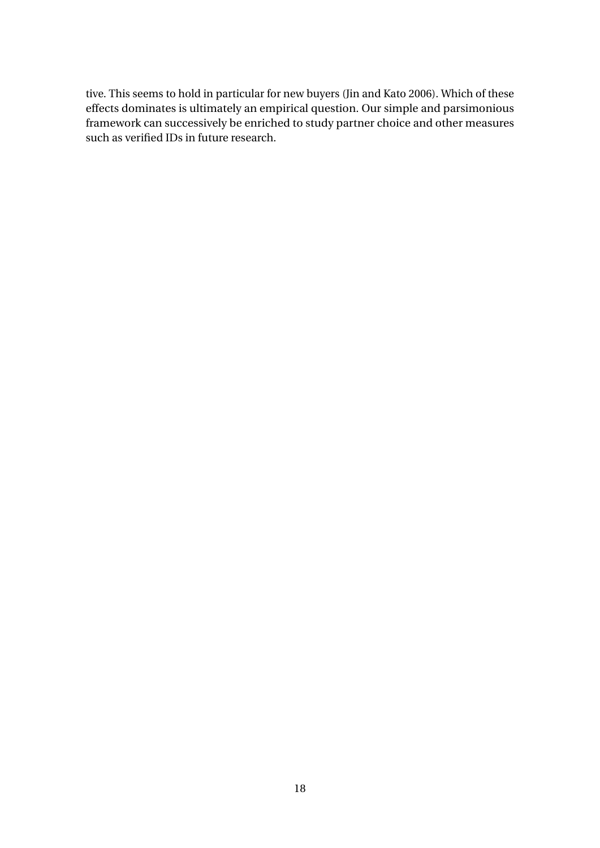tive. This seems to hold in particular for new buyers (Jin and Kato 2006). Which of these effects dominates is ultimately an empirical question. Our simple and parsimonious framework can successively be enriched to study partner choice and other measures such as verified IDs in future research.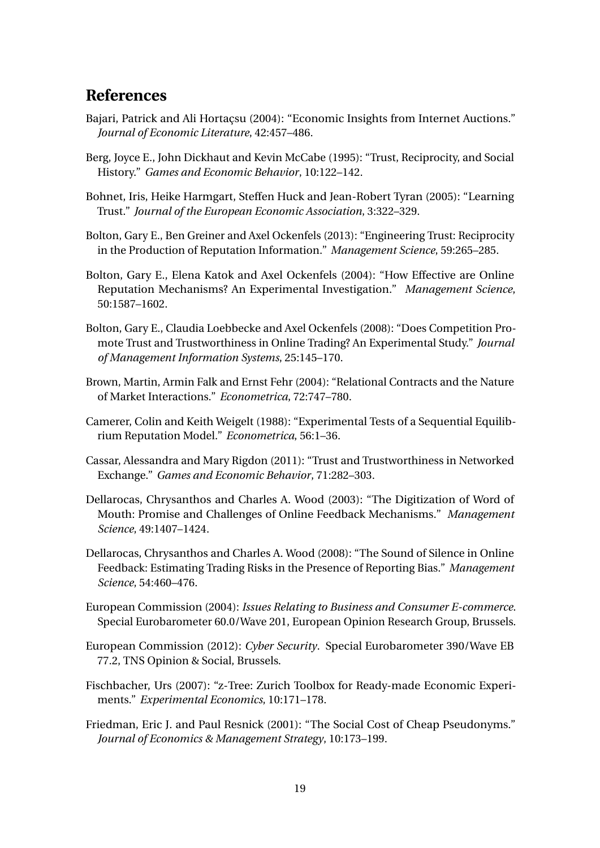### **References**

- Bajari, Patrick and Ali Hortaçsu (2004): "Economic Insights from Internet Auctions." *Journal of Economic Literature*, 42:457–486.
- Berg, Joyce E., John Dickhaut and Kevin McCabe (1995): "Trust, Reciprocity, and Social History." *Games and Economic Behavior*, 10:122–142.
- Bohnet, Iris, Heike Harmgart, Steffen Huck and Jean-Robert Tyran (2005): "Learning Trust." *Journal of the European Economic Association*, 3:322–329.
- Bolton, Gary E., Ben Greiner and Axel Ockenfels (2013): "Engineering Trust: Reciprocity in the Production of Reputation Information." *Management Science*, 59:265–285.
- Bolton, Gary E., Elena Katok and Axel Ockenfels (2004): "How Effective are Online Reputation Mechanisms? An Experimental Investigation." *Management Science*, 50:1587–1602.
- Bolton, Gary E., Claudia Loebbecke and Axel Ockenfels (2008): "Does Competition Promote Trust and Trustworthiness in Online Trading? An Experimental Study." *Journal of Management Information Systems*, 25:145–170.
- Brown, Martin, Armin Falk and Ernst Fehr (2004): "Relational Contracts and the Nature of Market Interactions." *Econometrica*, 72:747–780.
- Camerer, Colin and Keith Weigelt (1988): "Experimental Tests of a Sequential Equilibrium Reputation Model." *Econometrica*, 56:1–36.
- Cassar, Alessandra and Mary Rigdon (2011): "Trust and Trustworthiness in Networked Exchange." *Games and Economic Behavior*, 71:282–303.
- Dellarocas, Chrysanthos and Charles A. Wood (2003): "The Digitization of Word of Mouth: Promise and Challenges of Online Feedback Mechanisms." *Management Science*, 49:1407–1424.
- Dellarocas, Chrysanthos and Charles A. Wood (2008): "The Sound of Silence in Online Feedback: Estimating Trading Risks in the Presence of Reporting Bias." *Management Science*, 54:460–476.
- European Commission (2004): *Issues Relating to Business and Consumer E-commerce*. Special Eurobarometer 60.0/Wave 201, European Opinion Research Group, Brussels.
- European Commission (2012): *Cyber Security*. Special Eurobarometer 390/Wave EB 77.2, TNS Opinion & Social, Brussels.
- Fischbacher, Urs (2007): "z-Tree: Zurich Toolbox for Ready-made Economic Experiments." *Experimental Economics*, 10:171–178.
- Friedman, Eric J. and Paul Resnick (2001): "The Social Cost of Cheap Pseudonyms." *Journal of Economics & Management Strategy*, 10:173–199.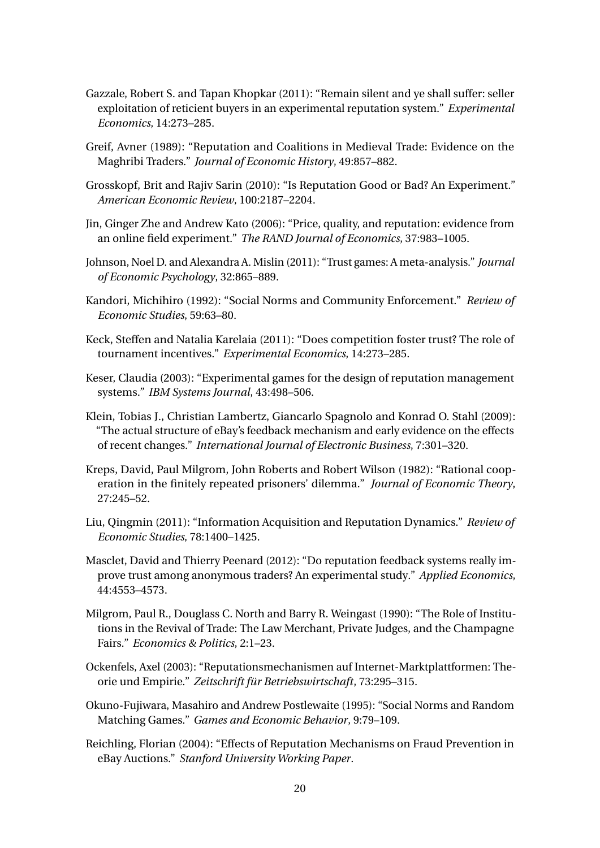- Gazzale, Robert S. and Tapan Khopkar (2011): "Remain silent and ye shall suffer: seller exploitation of reticient buyers in an experimental reputation system." *Experimental Economics*, 14:273–285.
- Greif, Avner (1989): "Reputation and Coalitions in Medieval Trade: Evidence on the Maghribi Traders." *Journal of Economic History*, 49:857–882.
- Grosskopf, Brit and Rajiv Sarin (2010): "Is Reputation Good or Bad? An Experiment." *American Economic Review*, 100:2187–2204.
- Jin, Ginger Zhe and Andrew Kato (2006): "Price, quality, and reputation: evidence from an online field experiment." *The RAND Journal of Economics*, 37:983–1005.
- Johnson, Noel D. and Alexandra A. Mislin (2011): "Trust games: A meta-analysis." *Journal of Economic Psychology*, 32:865–889.
- Kandori, Michihiro (1992): "Social Norms and Community Enforcement." *Review of Economic Studies*, 59:63–80.
- Keck, Steffen and Natalia Karelaia (2011): "Does competition foster trust? The role of tournament incentives." *Experimental Economics*, 14:273–285.
- Keser, Claudia (2003): "Experimental games for the design of reputation management systems." *IBM Systems Journal*, 43:498–506.
- Klein, Tobias J., Christian Lambertz, Giancarlo Spagnolo and Konrad O. Stahl (2009): "The actual structure of eBay's feedback mechanism and early evidence on the effects of recent changes." *International Journal of Electronic Business*, 7:301–320.
- Kreps, David, Paul Milgrom, John Roberts and Robert Wilson (1982): "Rational cooperation in the finitely repeated prisoners' dilemma." *Journal of Economic Theory*, 27:245–52.
- Liu, Qingmin (2011): "Information Acquisition and Reputation Dynamics." *Review of Economic Studies*, 78:1400–1425.
- Masclet, David and Thierry Peenard (2012): "Do reputation feedback systems really improve trust among anonymous traders? An experimental study." *Applied Economics*, 44:4553–4573.
- Milgrom, Paul R., Douglass C. North and Barry R. Weingast (1990): "The Role of Institutions in the Revival of Trade: The Law Merchant, Private Judges, and the Champagne Fairs." *Economics & Politics*, 2:1–23.
- Ockenfels, Axel (2003): "Reputationsmechanismen auf Internet-Marktplattformen: Theorie und Empirie." *Zeitschrift für Betriebswirtschaft*, 73:295–315.
- Okuno-Fujiwara, Masahiro and Andrew Postlewaite (1995): "Social Norms and Random Matching Games." *Games and Economic Behavior*, 9:79–109.
- Reichling, Florian (2004): "Effects of Reputation Mechanisms on Fraud Prevention in eBay Auctions." *Stanford University Working Paper*.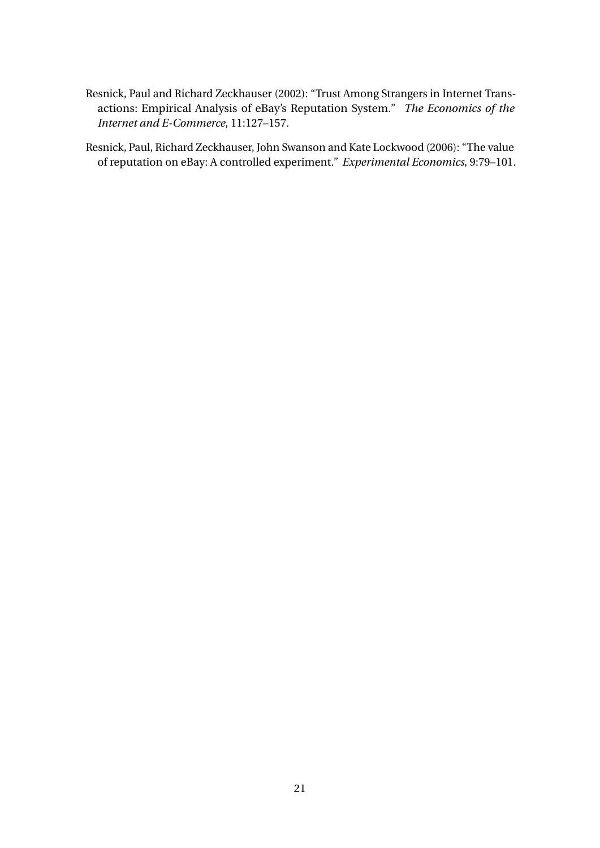Resnick, Paul and Richard Zeckhauser (2002): "Trust Among Strangers in Internet Transactions: Empirical Analysis of eBay's Reputation System." *The Economics of the Internet and E-Commerce*, 11:127–157.

Resnick, Paul, Richard Zeckhauser, John Swanson and Kate Lockwood (2006): "The value of reputation on eBay: A controlled experiment." *Experimental Economics*, 9:79–101.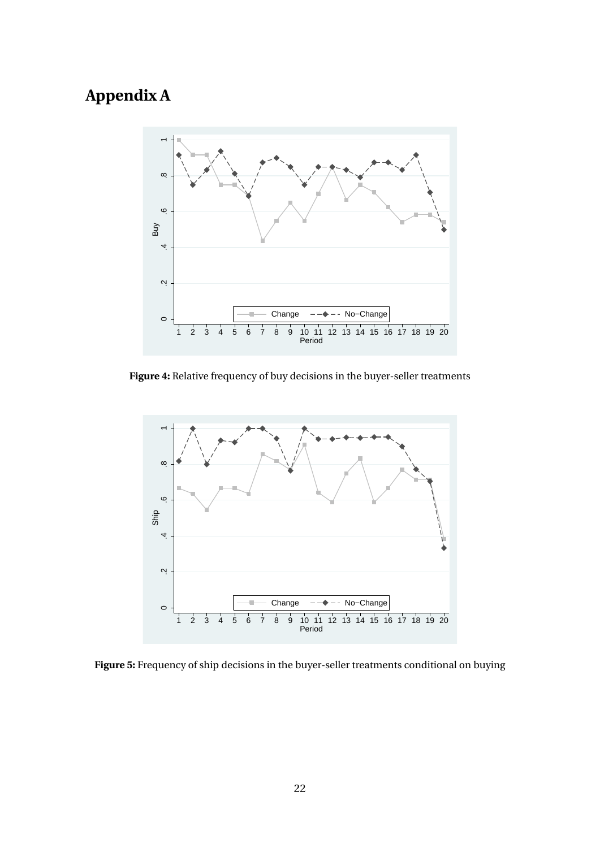## **Appendix A**



**Figure 4:** Relative frequency of buy decisions in the buyer-seller treatments



**Figure 5:** Frequency of ship decisions in the buyer-seller treatments conditional on buying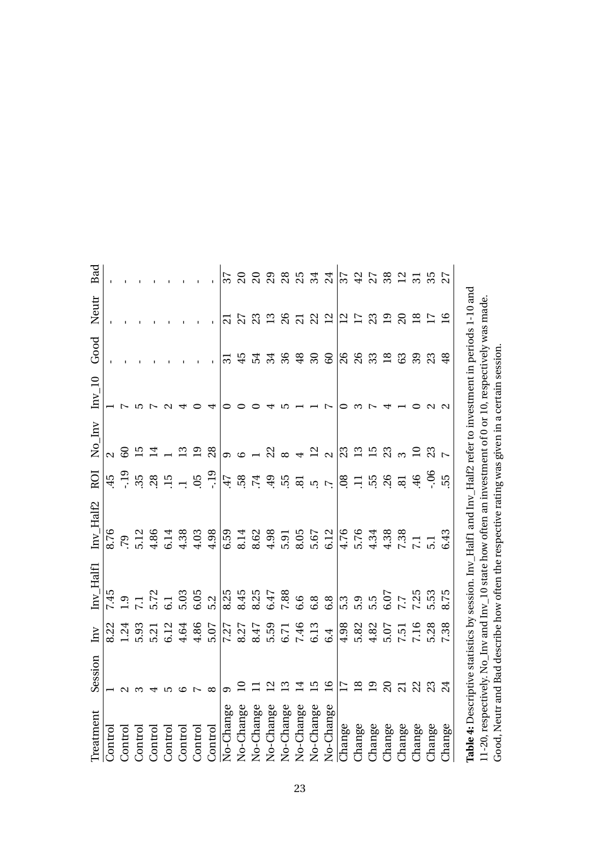| Treatment                                                                                                   | Session         | $\overline{\text{Im}V}$ | $Inv_Haff$                                    | $Inv_Half2$      | ROI                           | $N_0$ Inv                | $Inv_10$ | Good            | Neutr               | Bad             |
|-------------------------------------------------------------------------------------------------------------|-----------------|-------------------------|-----------------------------------------------|------------------|-------------------------------|--------------------------|----------|-----------------|---------------------|-----------------|
| Control                                                                                                     |                 | 8.22                    |                                               | 8.76             | 45                            | $\overline{\mathcal{L}}$ |          |                 |                     |                 |
| Control                                                                                                     |                 | 1.24                    |                                               | $6\Delta$        | $-19$                         | 60                       |          |                 |                     |                 |
| Control                                                                                                     |                 | 5.93                    |                                               | 5.12             | 35                            | L5                       |          |                 |                     |                 |
| Control                                                                                                     |                 | 5.21                    |                                               | 4.86             | 28                            | $\overline{4}$           |          |                 |                     |                 |
| Control                                                                                                     |                 | 6.12                    | $7.45$<br>$7.1$<br>$7.72$<br>$6.03$<br>$5.03$ | 6.14             | 15                            |                          |          |                 |                     |                 |
| Control                                                                                                     |                 | 4.64                    |                                               | 4.38             |                               | $\mathbf{C}$             |          |                 |                     |                 |
| Control                                                                                                     |                 | 4.86                    | 6.05                                          | 4.03             | 05                            | $\overline{19}$          |          |                 |                     |                 |
| Control                                                                                                     |                 | 5.07                    | 5.2                                           | 4.98             | $-19$                         | 28                       |          |                 |                     |                 |
| No-Change                                                                                                   |                 | 7.27                    | 8.25                                          | 6.59             | 47                            | တ                        |          | $\overline{31}$ | $\overline{\Omega}$ | 37              |
| No-Change                                                                                                   |                 | 8.27                    | 8.45                                          | 8.14             | 58                            | $\circ$                  |          | 45              | 27                  | $\overline{c}$  |
| No-Change                                                                                                   |                 | 8.47                    | 8.25<br>6.47                                  | 8.62             | $\overline{74}$               |                          |          | 54              | 23                  | $\overline{c}$  |
| No-Change                                                                                                   |                 | 5.59                    |                                               | 4.98             | 49                            |                          |          | 34              | 13                  |                 |
| No-Change                                                                                                   |                 | 6.71                    | 7.88                                          | 5.91             | 55                            | $\frac{22}{8}$           |          | 36              | 26                  | 285             |
| No-Change                                                                                                   |                 | 7.46                    | 6.6                                           | 8.05             | $\overline{a}$                | $\overline{a}$           |          | 48              | $\overline{c}$      |                 |
| No-Change                                                                                                   |                 | 6.13                    | 6.8                                           | 5.67             |                               | $\frac{2}{2}$            |          | $30\,$          | 22                  | 34              |
| No-Change                                                                                                   | $\overline{9}$  | 6.4                     | 6.8                                           | 6.12             | $\overline{u}$ $\overline{v}$ |                          |          | 60              |                     | 24              |
| Change                                                                                                      |                 | 4.98                    | 5.3                                           | 4.76             | $\overline{08}$               | $\overline{23}$          |          | 26              | $\mathbf{r}$        | 37              |
| Change                                                                                                      | $\overline{18}$ | 5.82                    |                                               | 5.76             | $\Box$                        | $\frac{2}{15}$           |          | 26              | $\overline{17}$     |                 |
| Change                                                                                                      | $\overline{0}$  | 4.82                    | 5.5<br>5.5                                    | 4.34             | 55                            |                          |          | 33              | 23                  | 27              |
| Change                                                                                                      | $\Omega$        | 5.07                    | 6.07                                          | 4.38             | 26                            | 23                       |          | 18              | 19                  | 38              |
| Change                                                                                                      |                 | <b>1.51</b>             | $7.7$<br>7.25                                 | 7.38             | 81                            |                          |          | 63              | 20                  | $\overline{12}$ |
| Change                                                                                                      | 22              | 7.16                    |                                               | $\overline{1}$   | 46                            | $\overline{a}$           |          | 39              | $\overline{8}$      |                 |
| Change                                                                                                      | 23              | 5.28                    | 5.53                                          | $\overline{5}$ . | $-06$                         | 23                       |          | 23              | $\overline{17}$     |                 |
| Change                                                                                                      |                 | 38                      | 75                                            | 6.43             | 55                            |                          |          | $\frac{9}{2}$   | $\overline{9}$      |                 |
| Table 4: Descriptive statistics by session. Inv_Half1 and Inv_Half2 refer to investment in periods 1-10 and |                 |                         |                                               |                  |                               |                          |          |                 |                     |                 |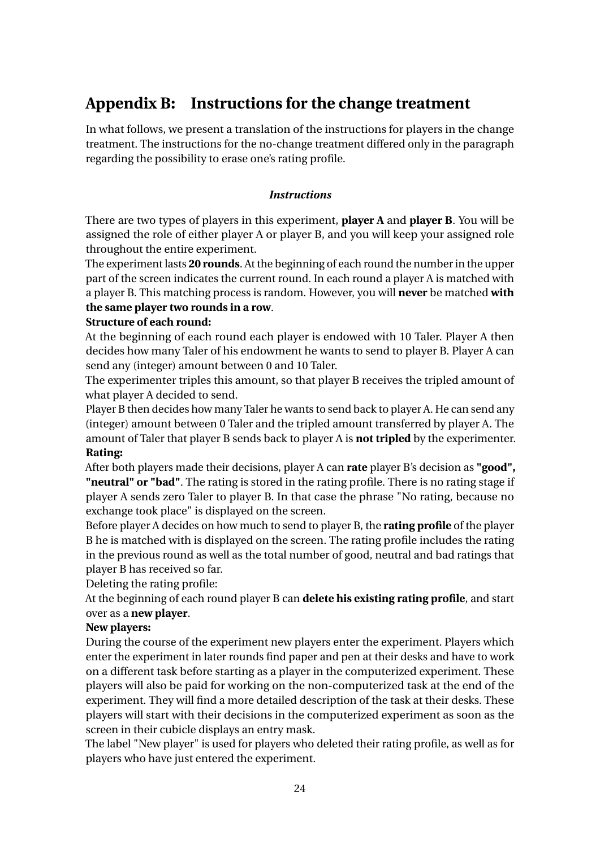### **Appendix B: Instructions for the change treatment**

In what follows, we present a translation of the instructions for players in the change treatment. The instructions for the no-change treatment differed only in the paragraph regarding the possibility to erase one's rating profile.

#### *Instructions*

There are two types of players in this experiment, **player A** and **player B**. You will be assigned the role of either player A or player B, and you will keep your assigned role throughout the entire experiment.

The experiment lasts **20 rounds**. At the beginning of each round the number in the upper part of the screen indicates the current round. In each round a player A is matched with a player B. This matching process is random. However, you will **never** be matched **with the same player two rounds in a row**.

### **Structure of each round:**

At the beginning of each round each player is endowed with 10 Taler. Player A then decides how many Taler of his endowment he wants to send to player B. Player A can send any (integer) amount between 0 and 10 Taler.

The experimenter triples this amount, so that player B receives the tripled amount of what player A decided to send.

Player B then decides how many Taler he wants to send back to player A. He can send any (integer) amount between 0 Taler and the tripled amount transferred by player A. The amount of Taler that player B sends back to player A is **not tripled** by the experimenter. **Rating:**

After both players made their decisions, player A can **rate** player B's decision as **"good", "neutral" or "bad"**. The rating is stored in the rating profile. There is no rating stage if player A sends zero Taler to player B. In that case the phrase "No rating, because no exchange took place" is displayed on the screen.

Before player A decides on how much to send to player B, the **rating profile** of the player B he is matched with is displayed on the screen. The rating profile includes the rating in the previous round as well as the total number of good, neutral and bad ratings that player B has received so far.

Deleting the rating profile:

At the beginning of each round player B can **delete his existing rating profile**, and start over as a **new player**.

#### **New players:**

During the course of the experiment new players enter the experiment. Players which enter the experiment in later rounds find paper and pen at their desks and have to work on a different task before starting as a player in the computerized experiment. These players will also be paid for working on the non-computerized task at the end of the experiment. They will find a more detailed description of the task at their desks. These players will start with their decisions in the computerized experiment as soon as the screen in their cubicle displays an entry mask.

The label "New player" is used for players who deleted their rating profile, as well as for players who have just entered the experiment.